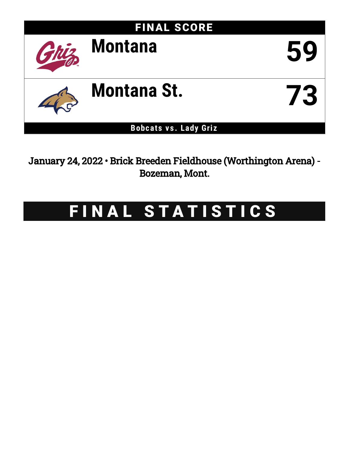

January 24, 2022 • Brick Breeden Fieldhouse (Worthington Arena) - Bozeman, Mont.

# FINAL STATISTICS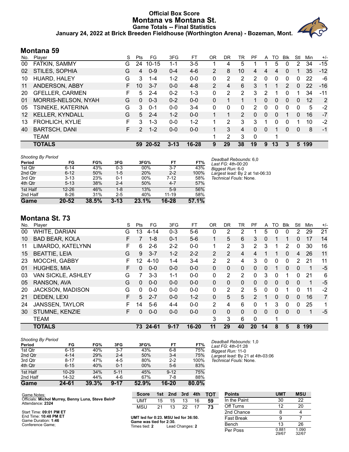## **Official Box Score Montana vs Montana St. Game Totals -- Final Statistics January 24, 2022 at Brick Breeden Fieldhouse (Worthington Arena) - Bozeman, Mont.**



## **Montana 59**

| No. | Player                 | S  | <b>Pts</b>    | FG        | 3FG      | FT      | OR             | DR | TR             | PF       | A        | TO           | <b>B</b> lk   | Stl          | Min | $+/-$ |
|-----|------------------------|----|---------------|-----------|----------|---------|----------------|----|----------------|----------|----------|--------------|---------------|--------------|-----|-------|
| 00  | FATKIN, SAMMY          | G  | 24            | $10 - 15$ | 1-1      | $3-5$   |                | 4  | 5              |          |          | 5            |               | 2            | 34  | $-15$ |
| 02  | STILES, SOPHIA         | G  | 4             | $0 - 9$   | $0 - 4$  | $4-6$   | $\overline{2}$ | 8  | 10             | 4        | 4        | 4            | 0             |              | 35  | $-12$ |
| 10  | HUARD, HALEY           | G  | 3             | $1 - 4$   | $1 - 2$  | $0 - 0$ | 0              | 2  | $\overline{2}$ | 2        | 0        | 0            | 0             | 0            | 22  | -6    |
| 11  | ANDERSON, ABBY         | F. | 10            | $3 - 7$   | $0 - 0$  | $4 - 8$ | $\mathcal{P}$  | 4  | 6              | 3        |          |              | $\mathcal{P}$ | 0            | 22  | $-16$ |
| 20  | <b>GFELLER, CARMEN</b> | F  | 5             | $2 - 4$   | $0 - 2$  | $1 - 3$ | 0              | 2  | 2              | 3        | 2        |              | 0             |              | 34  | $-11$ |
| 01  | MORRIS-NELSON, NYAH    | G  | 0             | $0 - 3$   | $0 - 2$  | $0 - 0$ | 0              | 1  |                | 1        | $\Omega$ | $\mathbf{0}$ | $\mathbf{0}$  | $\mathbf{0}$ | 12  | 2     |
| 05  | TSINEKE, KATERINA      | G  | 3             | $0 - 1$   | $0 - 0$  | $3 - 4$ | 0              | 0  | 0              | 2        | 0        | 0            | 0             | 0            | 5   | $-2$  |
| 12  | <b>KELLER, KYNDALL</b> | G  | 5             | $2 - 4$   | $1 - 2$  | $0 - 0$ |                |    | 2              | 0        | 0        | 0            |               | 0            | 16  | $-7$  |
| 13  | <b>FROHLICH, KYLIE</b> | F  | 3             | $1 - 3$   | $0 - 0$  | $1 - 2$ |                | 2  | 3              | 3        |          | 0            | 0             |              | 10  | $-2$  |
| 40  | <b>BARTSCH, DANI</b>   | F. | $\mathcal{P}$ | $1 - 2$   | $0 - 0$  | $0 - 0$ |                | 3  | 4              | $\Omega$ | 0        |              | 0             | 0            | 8   | -1    |
|     | <b>TEAM</b>            |    |               |           |          |         | 4              | 2  | 3              | 0        |          |              |               |              |     |       |
|     | <b>TOTALS</b>          |    | 59            | $20 - 52$ | $3 - 13$ | 16-28   | 9              | 29 | 38             | 19       | 9        | 13           | 3             | 5            | 199 |       |

| <b>Shooting By Period</b> |           |       |          |       |           |       |
|---------------------------|-----------|-------|----------|-------|-----------|-------|
| Period                    | FG        | FG%   | 3FG      | 3FG%  | FT        | FT%   |
| 1st Qtr                   | $6 - 14$  | 43%   | $0 - 3$  | 00%   | $3 - 7$   | 43%   |
| 2nd Qtr                   | $6 - 12$  | 50%   | $1 - 5$  | 20%   | $2 - 2$   | 100%  |
| 3rd Qtr                   | $3 - 13$  | 23%   | $0 - 1$  | 00%   | $7-12$    | 58%   |
| 4th Qtr                   | $5 - 13$  | 38%   | $2 - 4$  | 50%   | $4 - 7$   | 57%   |
| 1st Half                  | $12 - 26$ | 46%   | $1 - 8$  | 13%   | $5-9$     | 56%   |
| 2nd Half                  | $8 - 26$  | 31%   | $2 - 5$  | 40%   | $11 - 19$ | 58%   |
| Game                      | $20 - 52$ | 38.5% | $3 - 13$ | 23.1% | 16-28     | 57.1% |

*Deadball Rebounds:* 6,0 *Last FG:* 4th-00:20 *Biggest Run:* 6-0 *Largest lead:* By 2 at 1st-06:33 *Technical Fouls:* None.

## **Montana St. 73**

| No. | Player                  | S  | Pts | FG        | 3FG     | FT        | 0R             | DR            | TR       | PF             | A        | TO       | <b>B</b> lk | Stl      | Min | $+/-$          |
|-----|-------------------------|----|-----|-----------|---------|-----------|----------------|---------------|----------|----------------|----------|----------|-------------|----------|-----|----------------|
| 00  | WHITE, DARIAN           | G  | 13  | $4 - 14$  | $0 - 3$ | $5-6$     | 0              | 2             | 2        |                | 5        | 0        | 0           | 2        | 29  | 21             |
| 10  | <b>BAD BEAR, KOLA</b>   | F. | 7   | $1 - 8$   | $0 - 1$ | $5-6$     | 1              | 5             | 6        | 3              | 0        | 1        |             | $\Omega$ | 17  | 14             |
| 11  | LIMARDO, KATELYNN       | F  | 6   | $2 - 6$   | $2 - 2$ | $0 - 0$   |                | 2             | 3        | $\overline{2}$ | 3        | 1        | 2           | 0        | 30  | 16             |
| 15  | <b>BEATTIE, LEIA</b>    | G  | 9   | $3 - 7$   | $1 - 2$ | $2 - 2$   | $\overline{2}$ | $\mathcal{P}$ | 4        | 4              |          | 1        | $\Omega$    | 4        | 26  | 11             |
| 23  | MOCCHI, GABBY           | F  | 12  | $4 - 10$  | $1 - 4$ | $3 - 4$   | $\mathcal{P}$  | 2             | 4        | 3              | 0        | 0        | 0           | 2        | 21  | 11             |
| 01  | <b>HUGHES, MIA</b>      | F  | 0   | $0 - 0$   | $0 - 0$ | $0 - 0$   | $\mathbf{0}$   | $\mathbf{0}$  | $\Omega$ | $\Omega$       | 0        | 1        | $\Omega$    | $\Omega$ | 1   | $-5$           |
| 03  | VAN SICKLE, ASHLEY      | G  |     | $3 - 3$   | $1 - 1$ | $0 - 0$   | 0              | 2             | 2        | $\Omega$       | 3        | $\Omega$ |             | 0        | 21  | 6              |
| 05  | RANSON, AVA             | G  | 0   | $0 - 0$   | $0 - 0$ | $0 - 0$   | $\Omega$       | $\mathbf{0}$  | $\Omega$ | $\Omega$       | $\Omega$ | $\Omega$ | $\Omega$    | $\Omega$ | 1   | $-5$           |
| 20  | <b>JACKSON, MADISON</b> | G  | 0   | $0 - 0$   | $0 - 0$ | $0 - 0$   | 0              | 2             | 2        | 5              | $\Omega$ | $\Omega$ | 1           | 0        | 11  | $-2$           |
| 21  | <b>DEDEN, LEXI</b>      | F  | 5   | $2 - 7$   | $0 - 0$ | $1 - 2$   | $\Omega$       | 5             | 5        | 2              | 1        | $\Omega$ | $\Omega$    | $\Omega$ | 16  | $\overline{7}$ |
| 24  | <b>JANSSEN, TAYLOR</b>  | F. | 14  | $5-6$     | $4 - 4$ | $0 - 0$   | 2              | 4             | 6        | $\Omega$       |          | 3        | 0           | 0        | 25  | 1              |
| 30  | STUMNE, KENZIE          | F. | 0   | $0 - 0$   | $0 - 0$ | $0 - 0$   | $\Omega$       | $\Omega$      | $\Omega$ | $\Omega$       | $\Omega$ | $\Omega$ | $\Omega$    | $\Omega$ | 1   | $-5$           |
|     | <b>TEAM</b>             |    |     |           |         |           | 3              | 3             | 6        | $\Omega$       |          | 1        |             |          |     |                |
|     | <b>TOTALS</b>           |    | 73  | $24 - 61$ | 9-17    | $16 - 20$ | 11             | 29            | 40       | 20             | 14       | 8        | 5           | 8        | 199 |                |

| Game                      | 24-61    | 39.3% | $9 - 17$ | 52.9% | 16-20    | 80.0% |         |
|---------------------------|----------|-------|----------|-------|----------|-------|---------|
| 2nd Half                  | 14-32    | 44%   | $4-6$    | 67%   | 7-8      | 88%   |         |
| 1st Half                  | $10-29$  | 34%   | $5 - 11$ | 45%   | $9 - 12$ | 75%   |         |
| 4th Qtr                   | $6 - 15$ | 40%   | $0 - 1$  | 00%   | $5-6$    | 83%   |         |
| 3rd Qtr                   | $8 - 17$ | 47%   | $4 - 5$  | 80%   | $2 - 2$  | 100%  | Technic |
| 2nd Qtr                   | $4 - 14$ | 29%   | $2 - 4$  | 50%   | $3 - 4$  | 75%   | Largest |
| 1st Qtr                   | $6 - 15$ | 40%   | $3 - 7$  | 43%   | $6 - 8$  | 75%   | Biggest |
| Period                    | FG       | FG%   | 3FG      | 3FG%  | FT       | FT%   | Last FG |
| <b>Shooting By Period</b> |          |       |          |       |          |       | Deadba  |

*Deadball Rebounds:* 1,0 *Last FG:* 4th-01:28 *Biggest Run:* 11-0 *Largest lead:* By 21 at 4th-03:06 *Technical Fouls:* None.

| Game Notes:                                                           | <b>Score</b> |        | 1st 2nd 3rd 4th |    |    | – тот |
|-----------------------------------------------------------------------|--------------|--------|-----------------|----|----|-------|
| Officials: Michol Murrey, Benny Luna, Steve BelnP<br>Attendance: 2324 | UMT          | $15 -$ | 15 <sup>1</sup> | 13 | 16 | 59    |
|                                                                       | MSU          | 21.    | 13 22           |    | 17 | 73    |
| Start Time: 09:01 PM FT                                               |              |        |                 |    |    |       |

| <b>Points</b>     | UMT            | <b>MSU</b>     |
|-------------------|----------------|----------------|
| In the Paint      | 30             | 22             |
| Off Turns         | 12             | 20             |
| 2nd Chance        | 8              | 4              |
| <b>Fast Break</b> | 9              |                |
| Bench             | 13             | 26             |
| Per Poss          | 0.881<br>29/67 | 1.090<br>32/67 |

Start Time: **09:01 PM ET** End Time: **10:48 PM ET** Game Duration: **1:46** Conference Game;

| UMT led for 0:23. MSU led for 36:50. |                             |  |
|--------------------------------------|-----------------------------|--|
| Game was tied for 2:30.              |                             |  |
|                                      | $\mathbf{r}$ , $\mathbf{r}$ |  |

Times tied: **2** Lead Changes: **2**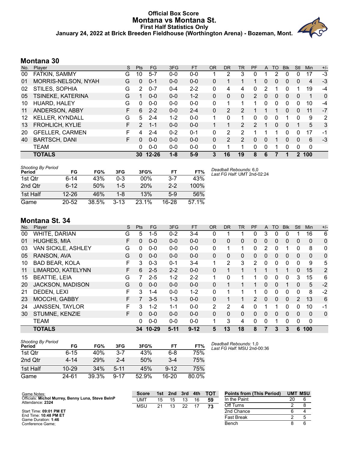#### **Official Box Score Montana vs Montana St. First Half Statistics Only January 24, 2022 at Brick Breeden Fieldhouse (Worthington Arena) - Bozeman, Mont.**



# **Montana 30**

| No. | Plaver                 | S  | <b>Pts</b>    | <b>FG</b> | 3FG     | <b>FT</b> | <b>OR</b> | <b>DR</b> | TR            | PF                    | A | TO       | <b>B</b> lk | Stl      | Min         | $+/-$        |
|-----|------------------------|----|---------------|-----------|---------|-----------|-----------|-----------|---------------|-----------------------|---|----------|-------------|----------|-------------|--------------|
| 00  | FATKIN, SAMMY          | G  | 10            | $5 - 7$   | $0 - 0$ | $0 - 0$   |           | 2         | 3             | 0                     |   | 2        | 0           | 0        | 17          | $-3$         |
| 01  | MORRIS-NELSON, NYAH    | G  | 0             | $0 - 1$   | $0 - 0$ | $0 - 0$   | 0         |           |               |                       | 0 | 0        | 0           | 0        | 4           | -3           |
| 02  | STILES, SOPHIA         | G  | 2             | $0 - 7$   | $0 - 4$ | $2 - 2$   | 0         | 4         | 4             | 0                     | 2 |          | 0           |          | 19          | $-4$         |
| 05  | TSINEKE, KATERINA      | G  |               | $0 - 0$   | $0 - 0$ | $1 - 2$   | 0         | 0         | 0             | $\mathbf{2}^{\prime}$ | 0 | 0        | 0           | 0        | 1           | $\mathbf{0}$ |
| 10  | HUARD, HALEY           | G  | 0             | $0 - 0$   | $0 - 0$ | $0 - 0$   | 0         | 1         |               | 1                     | 0 | 0        | 0           | 0        | 10          | -4           |
| 11  | ANDERSON, ABBY         | F. | 6             | $2 - 2$   | $0 - 0$ | $2 - 4$   | 0         | 2         | 2             |                       |   |          | 0           | 0        | 11          | $-7$         |
| 12  | <b>KELLER, KYNDALL</b> | G  | 5             | $2 - 4$   | $1 - 2$ | $0 - 0$   | 1         | 0         | 1             | 0                     | 0 | 0        |             | $\Omega$ | 9           | 2            |
| 13  | <b>FROHLICH, KYLIE</b> | F. | $\mathcal{P}$ | $1 - 1$   | $0 - 0$ | $0 - 0$   |           | 1         | $\mathcal{P}$ | $\mathcal{P}$         |   | $\Omega$ | $\Omega$    | 1        | 5           | 3            |
| 20  | <b>GFELLER, CARMEN</b> | F  | 4             | $2 - 4$   | $0 - 2$ | $0 - 1$   | 0         | 2         | 2             |                       |   |          | 0           | 0        | 17          | -1           |
| 40  | <b>BARTSCH, DANI</b>   | F. | 0             | $0 - 0$   | $0 - 0$ | $0 - 0$   | 0         | 2         | $\mathcal{P}$ | $\Omega$              | 0 |          | 0           | 0        | 6           | $-3$         |
|     | <b>TEAM</b>            |    | 0             | $0 - 0$   | $0 - 0$ | $0 - 0$   | 0         | 1         |               | 0                     | 0 |          | 0           | $\Omega$ | $\mathbf 0$ |              |
|     | <b>TOTALS</b>          |    | 30            | $12 - 26$ | $1 - 8$ | $5-9$     | 3         | 16        | 19            | 8                     | 6 |          |             | 2        | 100         |              |

| <b>Shooting By Period</b><br>Period | FG        | FG%   | 3FG     | 3FG%       | FТ      | FT%   |
|-------------------------------------|-----------|-------|---------|------------|---------|-------|
| 1st Otr                             | 6-14      | 43%   | $0 - 3$ | $00\%$     | $3 - 7$ | 43%   |
| 2nd Otr                             | $6 - 12$  | 50%   | $1-5$   | <b>20%</b> | $2 - 2$ | 100%  |
| 1st Half                            | $12 - 26$ | 46%   | 1-8     | 13%        | $5-9$   | 56%   |
| Game                                | $20 - 52$ | 38.5% | $3-13$  | 23.1%      | $16-28$ | 57 1% |

# **Montana St. 34**

| No. | Player                 | S | <b>Pts</b>     | <b>FG</b> | 3FG     | <b>FT</b> | <b>OR</b> | <b>DR</b>      | <b>TR</b> | PF       | A            | TO       | <b>B</b> lk  | Stl          | Min          | $+/-$          |
|-----|------------------------|---|----------------|-----------|---------|-----------|-----------|----------------|-----------|----------|--------------|----------|--------------|--------------|--------------|----------------|
| 00  | <b>WHITE, DARIAN</b>   | G | 5              | $1 - 5$   | $0 - 2$ | $3 - 4$   | 0         | 1              |           | 0        | 3            | 0        | 0            |              | 16           | 6              |
| 01  | <b>HUGHES, MIA</b>     | F | $\Omega$       | $0 - 0$   | $0 - 0$ | $0 - 0$   | $\Omega$  | 0              | 0         | $\Omega$ | $\mathbf{0}$ | 0        | $\Omega$     | 0            | $\Omega$     | 0              |
| 03  | VAN SICKLE, ASHLEY     | G | 0              | $0-0$     | $0 - 0$ | $0 - 0$   | 0         | 1              |           | 0        | 2            | 0        |              | 0            | 8            | 0              |
| 05  | RANSON, AVA            | G | $\Omega$       | $0 - 0$   | $0 - 0$ | $0 - 0$   | $\Omega$  | $\Omega$       | $\Omega$  | $\Omega$ | $\Omega$     | $\Omega$ | $\Omega$     | $\mathbf{0}$ | $\mathbf{0}$ | 0              |
| 10  | <b>BAD BEAR, KOLA</b>  | F | 3              | $0 - 3$   | $0 - 1$ | $3 - 4$   | 1         | $\overline{2}$ | 3         | 2        | 0            | 0        | 0            | $\Omega$     | 9            | 5              |
| 11  | LIMARDO, KATELYNN      | F | 6              | $2 - 5$   | $2 - 2$ | $0 - 0$   | $\Omega$  | 1              |           |          |              |          |              | $\Omega$     | 15           | $\overline{2}$ |
| 15  | <b>BEATTIE, LEIA</b>   | G |                | $2 - 5$   | $1 - 2$ | $2 - 2$   | 1         | 0              |           | 1        | 0            | 0        | 0            | 3            | 15           | 6              |
| 20  | JACKSON, MADISON       | G | $\Omega$       | $0 - 0$   | $0 - 0$ | $0 - 0$   | 0         | 1              |           |          | $\Omega$     | 0        |              | 0            | 5            | $-2$           |
| 21  | DEDEN, LEXI            | F | 3              | $1 - 4$   | $0 - 0$ | $1 - 2$   | 0         | 1              |           | 1        | 0            | 0        | $\Omega$     | $\Omega$     | 8            | $-2$           |
| 23  | MOCCHI, GABBY          | F | $\overline{7}$ | $3-5$     | $1 - 3$ | $0 - 0$   | 0         |                |           | 2        | 0            | $\Omega$ | $\mathbf{0}$ | 2            | 13           | 6              |
| 24  | <b>JANSSEN, TAYLOR</b> | F | 3              | $1 - 2$   | $1 - 1$ | $0 - 0$   | 2         | 2              | 4         | $\Omega$ | 1            |          | $\Omega$     | 0            | 10           | -1             |
| 30  | STUMNE, KENZIE         | F | $\Omega$       | $0 - 0$   | $0 - 0$ | $0 - 0$   | $\Omega$  | $\Omega$       | $\Omega$  | $\Omega$ | 0            | 0        | 0            | 0            | $\Omega$     | 0              |
|     | <b>TEAM</b>            |   | 0              | $0 - 0$   | $0 - 0$ | $0 - 0$   |           | 3              | 4         | 0        | 0            |          | $\Omega$     | 0            | 0            |                |
|     | <b>TOTALS</b>          |   | 34             | $10 - 29$ | $5-11$  | $9 - 12$  | 5         | 13             | 18        | 8        | 7            | 3        | 3            | 6            | 100          |                |

| <b>Shooting By Period</b><br>Period | FG        | FG%   | 3FG      | 3FG%  | FТ       | FT%   |
|-------------------------------------|-----------|-------|----------|-------|----------|-------|
| 1st Otr                             | $6 - 15$  | 40%   | $3 - 7$  | 43%   | 6-8      | 75%   |
| 2nd Otr                             | 4-14      | 29%   | $2 - 4$  | 50%   | $3 - 4$  | 75%   |
| 1st Half                            | $10 - 29$ | 34%   | $5 - 11$ | 45%   | $9 - 12$ | 75%   |
| Game                                | 24-61     | 39.3% | $9 - 17$ | 52.9% | 16-20    | 80.0% |

*Deadball Rebounds:* 1,0 *Last FG Half:* MSU 2nd-00:36

*Deadball Rebounds:* 6,0 *Last FG Half:* UMT 2nd-02:24

| Game Notes:                                                           | <b>Score</b> |    | 1st 2nd | 3rd | 4th | тот | <b>Points from (This Period)</b> | <b>UMT MSU</b> |  |
|-----------------------------------------------------------------------|--------------|----|---------|-----|-----|-----|----------------------------------|----------------|--|
| Officials: Michol Murrey, Benny Luna, Steve BelnP<br>Attendance: 2324 | UMT          | 15 | 15      | 13  | 16  | -59 | In the Paint                     | 20             |  |
|                                                                       | MSU          |    |         | 22  |     | 73  | Off Turns                        |                |  |
| Start Time: 09:01 PM ET                                               |              |    |         |     |     |     | 2nd Chance                       |                |  |
| End Time: 10:48 PM ET<br>Game Duration: 1:46                          |              |    |         |     |     |     | <b>Fast Break</b>                |                |  |
| Conference Game:                                                      |              |    |         |     |     |     | Bench                            |                |  |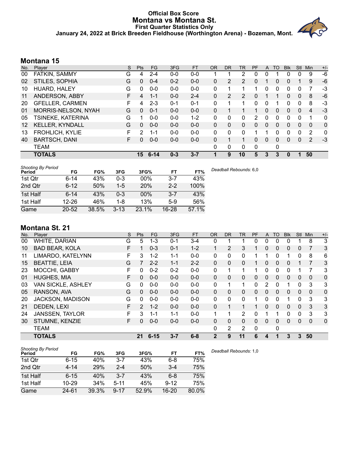#### **Official Box Score Montana vs Montana St. First Quarter Statistics Only January 24, 2022 at Brick Breeden Fieldhouse (Worthington Arena) - Bozeman, Mont.**



## **Montana 15**

| No.               | Plaver                 | S  | <b>Pts</b>      | <b>FG</b> | 3FG     | <b>FT</b> | <b>OR</b> | D <sub>R</sub> | TR             | PF           | A            | TO       | <b>BIK</b> | Stl            | Min                      | $+/-$        |
|-------------------|------------------------|----|-----------------|-----------|---------|-----------|-----------|----------------|----------------|--------------|--------------|----------|------------|----------------|--------------------------|--------------|
| 00                | FATKIN, SAMMY          | G  | 4               | $2 - 4$   | $0 - 0$ | $0-0$     |           |                | 2              | 0            | 0            |          |            | 0              | 9                        | -6           |
| 02                | STILES, SOPHIA         | G  | 0               | $0 - 4$   | $0 - 2$ | $0 - 0$   | 0         | 2              | $\overline{2}$ | 0            |              | 0        | 0          |                | 9                        | -6           |
| 10                | HUARD, HALEY           | G  | O               | $0 - 0$   | $0 - 0$ | $0 - 0$   | 0         |                |                |              | 0            | 0        | 0          | 0              |                          | -3           |
| 11                | ANDERSON, ABBY         | F. | 4               | 1-1       | $0 - 0$ | $2 - 4$   | 0         | 2              | $\overline{2}$ | 0            |              |          | $\Omega$   | $\Omega$       | 8                        | -6           |
| 20                | <b>GFELLER, CARMEN</b> | F  | 4               | $2 - 3$   | $0 - 1$ | $0 - 1$   | 0         |                | 1              | 0            | 0            |          | 0          | $\mathbf{0}$   | 8                        | -3           |
| 01                | MORRIS-NELSON, NYAH    | G  | 0               | $0 - 1$   | $0 - 0$ | $0 - 0$   | $\Omega$  |                |                |              | $\Omega$     | 0        | $\Omega$   | $\Omega$       | $\overline{\mathcal{L}}$ | $-3$         |
| 05                | TSINEKE, KATERINA      | G  |                 | $0 - 0$   | $0 - 0$ | $1 - 2$   | 0         | 0              | 0              | 2            | 0            | $\Omega$ | 0          | 0              |                          | $\mathbf{0}$ |
| $12 \overline{ }$ | <b>KELLER, KYNDALL</b> | G  | 0               | $0 - 0$   | $0 - 0$ | $0 - 0$   | $\Omega$  | $\Omega$       | 0              | 0            | $\mathbf{0}$ | 0        | 0          | $\overline{0}$ | $\Omega$                 | $\mathbf 0$  |
| 13                | <b>FROHLICH, KYLIE</b> | F  | 2               | 1-1       | $0 - 0$ | $0 - 0$   | 0         | 0              | 0              |              |              | 0        | 0          | 0              | 2                        | 0            |
| 40                | <b>BARTSCH, DANI</b>   | F  | 0               | $0 - 0$   | $0-0$   | $0 - 0$   | 0         |                | 1              | 0            | $\mathbf{0}$ | 0        | $\Omega$   | 0              | 2                        | $-3$         |
|                   | <b>TEAM</b>            |    |                 |           |         |           | 0         | 0              | 0              | $\mathbf{0}$ |              | 0        |            |                |                          |              |
|                   | <b>TOTALS</b>          |    | 15 <sup>°</sup> | $6 - 14$  | $0 - 3$ | $3 - 7$   | 1         | 9              | 10             | 5            | 3            | 3        | 0          | 1              | 50                       |              |

| <b>Shooting By Period</b><br>Period | FG        | FG%   | 3FG      | 3FG%       | FT        | FT%   | Deadball Rebounds: 6,0 |
|-------------------------------------|-----------|-------|----------|------------|-----------|-------|------------------------|
| 1st Qtr                             | 6-14      | 43%   | 0-3      | $00\%$     | $3 - 7$   | 43%   |                        |
| 2nd Qtr                             | $6 - 12$  | 50%   | $1-5$    | <b>20%</b> | $2 - 2$   | 100%  |                        |
| 1st Half                            | $6 - 14$  | 43%   | 0-3      | $00\%$     | $3 - 7$   | 43%   |                        |
| 1st Half                            | $12 - 26$ | 46%   | 1-8      | 13%        | $5-9$     | 56%   |                        |
| Game                                | $20 - 52$ | 38.5% | $3 - 13$ | 23.1%      | $16 - 28$ | 57.1% |                        |

# **Montana St. 21**

| No. | Plaver                  | S  | Pts      | FG       | 3FG     | <b>FT</b> | <b>OR</b>    | DR. | TR           | <b>PF</b> | A | TO       | <b>B</b> lk | <b>Stl</b> | Min      | $+/-$       |
|-----|-------------------------|----|----------|----------|---------|-----------|--------------|-----|--------------|-----------|---|----------|-------------|------------|----------|-------------|
| 00  | WHITE, DARIAN           | G  | 5        | $1 - 3$  | 0-1     | $3 - 4$   | 0            |     |              | 0         | 0 | 0        |             |            | 8        | 3           |
| 10  | <b>BAD BEAR, KOLA</b>   | F  |          | $0 - 3$  | $0 - 1$ | $1 - 2$   |              | 2   | 3            |           | 0 | 0        | 0           | 0          | 7        | 3           |
| 11  | LIMARDO, KATELYNN       | F  | 3        | $1 - 2$  | $1 - 1$ | $0 - 0$   | 0            | 0   | 0            |           |   | $\Omega$ |             | 0          | 8        | 6           |
| 15  | <b>BEATTIE, LEIA</b>    | G  |          | $2 - 2$  | $1 - 1$ | $2 - 2$   | 0            | 0   | $\Omega$     |           | 0 | 0        | 0           |            | 7        | 3           |
| 23  | <b>MOCCHI, GABBY</b>    | F  | $\Omega$ | $0 - 2$  | $0 - 2$ | $0-0$     | 0            | 1   | 1            | 1         | 0 | 0        | 0           |            | 7        | 3           |
| 01  | <b>HUGHES, MIA</b>      | F. | $\Omega$ | $0 - 0$  | $0 - 0$ | $0 - 0$   | $\mathbf{0}$ | 0   | $\Omega$     | $\Omega$  | 0 | $\Omega$ | $\Omega$    | 0          | $\Omega$ | $\mathbf 0$ |
| 03  | VAN SICKLE, ASHLEY      | G  | $\Omega$ | $0 - 0$  | $0 - 0$ | $0-0$     | 0            | 1   | 1            | 0         | 2 | 0        |             | 0          | 3        | 3           |
| 05  | RANSON, AVA             | G  | $\Omega$ | $0 - 0$  | $0 - 0$ | $0 - 0$   | $\Omega$     | 0   | $\mathbf{0}$ | $\Omega$  | 0 | $\Omega$ | $\Omega$    | $\Omega$   | $\Omega$ | $\mathbf 0$ |
| 20  | <b>JACKSON, MADISON</b> | G  | $\Omega$ | $0 - 0$  | $0 - 0$ | $0-0$     | $\Omega$     | 0   | 0            | 1         | 0 | 0        |             | 0          | 3        | 3           |
| 21  | DEDEN, LEXI             | F  | 2        | $1 - 2$  | $0 - 0$ | $0 - 0$   | $\Omega$     | 1   | 1            |           | 0 | $\Omega$ | $\Omega$    | 0          | 3        | 3           |
| 24  | <b>JANSSEN, TAYLOR</b>  | F  | 3        | $1 - 1$  | $1 - 1$ | $0-0$     | 1            | 1   | 2            | 0         |   | 1        | $\Omega$    | 0          | 3        | 3           |
| 30  | STUMNE, KENZIE          | F. | $\Omega$ | $0 - 0$  | $0 - 0$ | $0 - 0$   | 0            | 0   | $\Omega$     | $\Omega$  | 0 | 0        | 0           | 0          | $\Omega$ | $\mathbf 0$ |
|     | <b>TEAM</b>             |    |          |          |         |           | 0            | 2   | 2            | $\Omega$  |   | 0        |             |            |          |             |
|     | <b>TOTALS</b>           |    | 21       | $6 - 15$ | $3 - 7$ | $6 - 8$   | $\mathbf 2$  | 9   | 11           | 6         | 4 |          | 3           | 3          | 50       |             |

| <b>Shooting By Period</b> |           |       |          |       |           |       |     |
|---------------------------|-----------|-------|----------|-------|-----------|-------|-----|
| Period                    | FG        | FG%   | 3FG      | 3FG%  | FT        | FT%   | Dea |
| 1st Otr                   | $6 - 15$  | 40%   | $3 - 7$  | 43%   | $6 - 8$   | 75%   |     |
| 2nd Qtr                   | $4 - 14$  | 29%   | $2 - 4$  | 50%   | $3 - 4$   | 75%   |     |
| 1st Half                  | $6 - 15$  | 40%   | $3 - 7$  | 43%   | $6 - 8$   | 75%   |     |
| 1st Half                  | $10 - 29$ | 34%   | 5-11     | 45%   | $9 - 12$  | 75%   |     |
| Game                      | 24-61     | 39.3% | $9 - 17$ | 52.9% | $16 - 20$ | 80.0% |     |

*Deadball Rebounds:* 1,0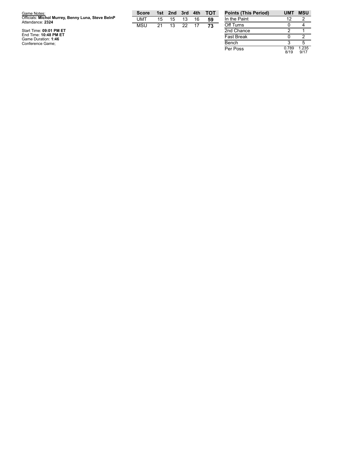| Game Notes:                                                           | <b>Score</b> |    | 1st 2nd | 3rd | 4th | <b>TOT</b> | <b>Points (This P</b> |
|-----------------------------------------------------------------------|--------------|----|---------|-----|-----|------------|-----------------------|
| Officials: Michol Murrey, Benny Luna, Steve BelnP<br>Attendance: 2324 | UMT          | 15 | 15      | 13  | 16  | 59         | In the Paint          |
|                                                                       | MSU          | 21 | 13      | 22  | 17  | 73         | Off Turns             |
| Start Time: 09:01 PM ET                                               |              |    |         |     |     |            | 2nd Chance            |
| End Time: 10:48 PM ET<br>Game Duration: 1:46                          |              |    |         |     |     |            | <b>Fast Break</b>     |
| Conference Game;                                                      |              |    |         |     |     |            | Bench                 |

| <b>Points (This Period)</b> | <b>UMT</b>    | <b>MSU</b>    |
|-----------------------------|---------------|---------------|
| In the Paint                | 12            | 2             |
| Off Turns                   | n             |               |
| 2nd Chance                  | 2             |               |
| <b>Fast Break</b>           | n             | 2             |
| Bench                       | з             | 5             |
| Per Poss                    | 0.789<br>8/19 | 1.235<br>9/17 |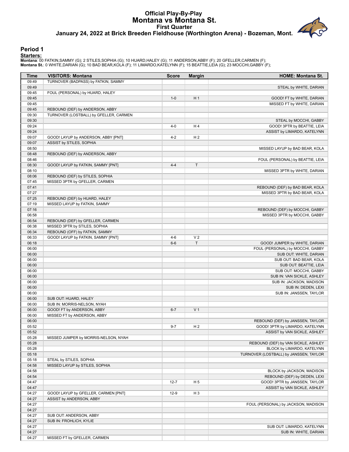## **Official Play-By-Play Montana vs Montana St. First Quarter January 24, 2022 at Brick Breeden Fieldhouse (Worthington Arena) - Bozeman, Mont.**

#### **Period 1**

#### **Starters:**

Montana: 00 FATKIN,SAMMY (G); 2 STILES,SOPHIA (G); 10 HUARD,HALEY (G); 11 ANDERSON,ABBY (F); 20 GFELLER,CARMEN (F);<br>Montana **S**t.: 0 WHITE,DARIAN (G); 10 BAD BEAR,KOLA (F); 11 LIMARDO,KATELYNN (F); 15 BEATTIE,LEIA (G); 23

| Time           | <b>VISITORS: Montana</b>                                                  | <b>Score</b> | <b>Margin</b>  | <b>HOME: Montana St.</b>                                             |
|----------------|---------------------------------------------------------------------------|--------------|----------------|----------------------------------------------------------------------|
| 09:49          | TURNOVER (BADPASS) by FATKIN, SAMMY                                       |              |                |                                                                      |
| 09:49          |                                                                           |              |                | STEAL by WHITE, DARIAN                                               |
| 09:45          | FOUL (PERSONAL) by HUARD, HALEY                                           |              |                |                                                                      |
| 09:45          |                                                                           | $1 - 0$      | H <sub>1</sub> | GOOD! FT by WHITE, DARIAN                                            |
| 09:45          |                                                                           |              |                | MISSED FT by WHITE, DARIAN                                           |
| 09:45<br>09:30 | REBOUND (DEF) by ANDERSON, ABBY<br>TURNOVER (LOSTBALL) by GFELLER, CARMEN |              |                |                                                                      |
| 09:30          |                                                                           |              |                | STEAL by MOCCHI, GABBY                                               |
| 09:24          |                                                                           | $4 - 0$      | H <sub>4</sub> | GOOD! 3PTR by BEATTIE, LEIA                                          |
| 09:24          |                                                                           |              |                | ASSIST by LIMARDO, KATELYNN                                          |
| 09:07          | GOOD! LAYUP by ANDERSON, ABBY [PNT]                                       | $4 - 2$      | H <sub>2</sub> |                                                                      |
| 09:07          | ASSIST by STILES, SOPHIA                                                  |              |                |                                                                      |
| 08:50          |                                                                           |              |                | MISSED LAYUP by BAD BEAR, KOLA                                       |
| 08:48          | REBOUND (DEF) by ANDERSON, ABBY                                           |              |                |                                                                      |
| 08:46          |                                                                           |              |                | FOUL (PERSONAL) by BEATTIE, LEIA                                     |
| 08:30          | GOOD! LAYUP by FATKIN, SAMMY [PNT]                                        | $4 - 4$      | T              |                                                                      |
| 08:10          |                                                                           |              |                | MISSED 3PTR by WHITE, DARIAN                                         |
| 08:06          | REBOUND (DEF) by STILES, SOPHIA                                           |              |                |                                                                      |
| 07:45          | MISSED 3PTR by GFELLER, CARMEN                                            |              |                |                                                                      |
| 07:41<br>07:27 |                                                                           |              |                | REBOUND (DEF) by BAD BEAR, KOLA<br>MISSED 3PTR by BAD BEAR, KOLA     |
| 07:25          | REBOUND (DEF) by HUARD, HALEY                                             |              |                |                                                                      |
| 07:19          | MISSED LAYUP by FATKIN, SAMMY                                             |              |                |                                                                      |
| 07:16          |                                                                           |              |                | REBOUND (DEF) by MOCCHI, GABBY                                       |
| 06:58          |                                                                           |              |                | MISSED 3PTR by MOCCHI, GABBY                                         |
| 06:54          | REBOUND (DEF) by GFELLER, CARMEN                                          |              |                |                                                                      |
| 06:38          | MISSED 3PTR by STILES, SOPHIA                                             |              |                |                                                                      |
| 06:34          | REBOUND (OFF) by FATKIN, SAMMY                                            |              |                |                                                                      |
| 06:33          | GOOD! LAYUP by FATKIN, SAMMY [PNT]                                        | $4 - 6$      | V <sub>2</sub> |                                                                      |
| 06:18          |                                                                           | $6-6$        | T              | GOOD! JUMPER by WHITE, DARIAN                                        |
| 06:00          |                                                                           |              |                | FOUL (PERSONAL) by MOCCHI, GABBY                                     |
| 06:00          |                                                                           |              |                | SUB OUT: WHITE, DARIAN                                               |
| 06:00          |                                                                           |              |                | SUB OUT: BAD BEAR, KOLA                                              |
| 06:00<br>06:00 |                                                                           |              |                | SUB OUT: BEATTIE, LEIA                                               |
| 06:00          |                                                                           |              |                | SUB OUT: MOCCHI, GABBY<br>SUB IN: VAN SICKLE, ASHLEY                 |
| 06:00          |                                                                           |              |                | SUB IN: JACKSON, MADISON                                             |
| 06:00          |                                                                           |              |                | SUB IN: DEDEN, LEXI                                                  |
| 06:00          |                                                                           |              |                | SUB IN: JANSSEN, TAYLOR                                              |
| 06:00          | SUB OUT: HUARD, HALEY                                                     |              |                |                                                                      |
| 06:00          | SUB IN: MORRIS-NELSON, NYAH                                               |              |                |                                                                      |
| 06:00          | GOOD! FT by ANDERSON, ABBY                                                | $6 - 7$      | V <sub>1</sub> |                                                                      |
| 06:00          | MISSED FT by ANDERSON, ABBY                                               |              |                |                                                                      |
| 06:00          |                                                                           |              |                | REBOUND (DEF) by JANSSEN, TAYLOR                                     |
| 05:52          |                                                                           | 9-7          | H 2            | GOOD! 3PTR by LIMARDO, KATELYNN                                      |
| 05:52          |                                                                           |              |                | ASSIST by VAN SICKLE, ASHLEY                                         |
| 05:28          | MISSED JUMPER by MORRIS-NELSON, NYAH                                      |              |                |                                                                      |
| 05:28          |                                                                           |              |                | REBOUND (DEF) by VAN SICKLE, ASHLEY                                  |
| 05:28<br>05:18 |                                                                           |              |                | BLOCK by LIMARDO, KATELYNN<br>TURNOVER (LOSTBALL) by JANSSEN, TAYLOR |
| 05:18          | STEAL by STILES, SOPHIA                                                   |              |                |                                                                      |
| 04:58          | MISSED LAYUP by STILES, SOPHIA                                            |              |                |                                                                      |
| 04:58          |                                                                           |              |                | BLOCK by JACKSON, MADISON                                            |
| 04:54          |                                                                           |              |                | REBOUND (DEF) by DEDEN, LEXI                                         |
| 04:47          |                                                                           | $12 - 7$     | H <sub>5</sub> | GOOD! 3PTR by JANSSEN, TAYLOR                                        |
| 04:47          |                                                                           |              |                | ASSIST by VAN SICKLE, ASHLEY                                         |
| 04:27          | GOOD! LAYUP by GFELLER, CARMEN [PNT]                                      | $12-9$       | H <sub>3</sub> |                                                                      |
| 04:27          | ASSIST by ANDERSON, ABBY                                                  |              |                |                                                                      |
| 04:27          |                                                                           |              |                | FOUL (PERSONAL) by JACKSON, MADISON                                  |
| 04:27          |                                                                           |              |                |                                                                      |
| 04:27          | SUB OUT: ANDERSON, ABBY                                                   |              |                |                                                                      |
| 04:27          | SUB IN: FROHLICH, KYLIE                                                   |              |                |                                                                      |
| 04:27          |                                                                           |              |                | SUB OUT: LIMARDO, KATELYNN                                           |
| 04:27<br>04:27 |                                                                           |              |                | SUB IN: WHITE, DARIAN                                                |
|                | MISSED FT by GFELLER, CARMEN                                              |              |                |                                                                      |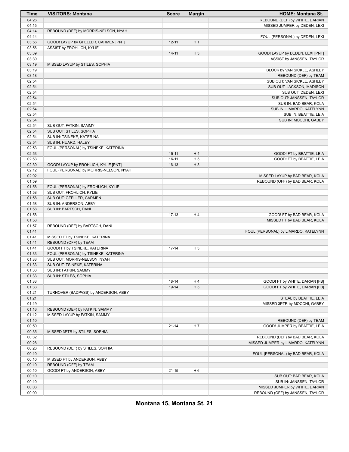| Time  | <b>VISITORS: Montana</b>               | <b>Score</b> | <b>Margin</b>        | <b>HOME: Montana St.</b>             |
|-------|----------------------------------------|--------------|----------------------|--------------------------------------|
| 04:26 |                                        |              |                      | REBOUND (DEF) by WHITE, DARIAN       |
| 04:15 |                                        |              |                      | MISSED JUMPER by DEDEN, LEXI         |
| 04:14 | REBOUND (DEF) by MORRIS-NELSON, NYAH   |              |                      |                                      |
| 04:14 |                                        |              |                      | FOUL (PERSONAL) by DEDEN, LEXI       |
| 03:56 | GOOD! LAYUP by GFELLER, CARMEN [PNT]   | $12 - 11$    | H <sub>1</sub>       |                                      |
| 03:56 | ASSIST by FROHLICH, KYLIE              |              |                      |                                      |
| 03:39 |                                        | $14 - 11$    | $H_3$                | GOOD! LAYUP by DEDEN, LEXI [PNT]     |
| 03:39 |                                        |              |                      | ASSIST by JANSSEN, TAYLOR            |
| 03:19 | MISSED LAYUP by STILES, SOPHIA         |              |                      |                                      |
| 03:19 |                                        |              |                      | BLOCK by VAN SICKLE, ASHLEY          |
| 03:18 |                                        |              |                      | REBOUND (DEF) by TEAM                |
| 02:54 |                                        |              |                      | SUB OUT: VAN SICKLE, ASHLEY          |
| 02:54 |                                        |              |                      | SUB OUT: JACKSON, MADISON            |
| 02:54 |                                        |              |                      | SUB OUT: DEDEN, LEXI                 |
| 02:54 |                                        |              |                      | SUB OUT: JANSSEN, TAYLOR             |
| 02:54 |                                        |              |                      | SUB IN: BAD BEAR, KOLA               |
| 02:54 |                                        |              |                      | SUB IN: LIMARDO, KATELYNN            |
| 02:54 |                                        |              |                      | SUB IN: BEATTIE, LEIA                |
| 02:54 |                                        |              |                      | SUB IN: MOCCHI, GABBY                |
| 02:54 | SUB OUT: FATKIN, SAMMY                 |              |                      |                                      |
| 02:54 | SUB OUT: STILES, SOPHIA                |              |                      |                                      |
| 02:54 | SUB IN: TSINEKE, KATERINA              |              |                      |                                      |
| 02:54 | SUB IN: HUARD, HALEY                   |              |                      |                                      |
| 02:53 | FOUL (PERSONAL) by TSINEKE, KATERINA   |              |                      |                                      |
| 02:53 |                                        | $15 - 11$    | H4                   | GOOD! FT by BEATTIE, LEIA            |
| 02:53 |                                        | $16-11$      | H <sub>5</sub>       | GOOD! FT by BEATTIE, LEIA            |
| 02:30 | GOOD! LAYUP by FROHLICH, KYLIE [PNT]   | $16-13$      | $H_3$                |                                      |
| 02:12 | FOUL (PERSONAL) by MORRIS-NELSON, NYAH |              |                      |                                      |
| 02:02 |                                        |              |                      | MISSED LAYUP by BAD BEAR, KOLA       |
| 01:59 |                                        |              |                      | REBOUND (OFF) by BAD BEAR, KOLA      |
| 01:58 | FOUL (PERSONAL) by FROHLICH, KYLIE     |              |                      |                                      |
| 01:58 | SUB OUT: FROHLICH, KYLIE               |              |                      |                                      |
| 01:58 | SUB OUT: GFELLER, CARMEN               |              |                      |                                      |
| 01:58 | SUB IN: ANDERSON, ABBY                 |              |                      |                                      |
| 01:58 | SUB IN: BARTSCH, DANI                  |              |                      |                                      |
| 01:58 |                                        | $17-13$      | H4                   | GOOD! FT by BAD BEAR, KOLA           |
| 01:58 |                                        |              |                      | MISSED FT by BAD BEAR, KOLA          |
| 01:57 | REBOUND (DEF) by BARTSCH, DANI         |              |                      |                                      |
| 01:41 |                                        |              |                      | FOUL (PERSONAL) by LIMARDO, KATELYNN |
| 01:41 | MISSED FT by TSINEKE, KATERINA         |              |                      |                                      |
| 01:41 | REBOUND (OFF) by TEAM                  |              |                      |                                      |
| 01:41 | GOOD! FT by TSINEKE, KATERINA          | $17-14$      | H <sub>3</sub>       |                                      |
| 01:33 | FOUL (PERSONAL) by TSINEKE, KATERINA   |              |                      |                                      |
| 01:33 | SUB OUT: MORRIS-NELSON, NYAH           |              |                      |                                      |
| 01:33 | SUB OUT: TSINEKE, KATERINA             |              |                      |                                      |
| 01:33 | SUB IN: FATKIN, SAMMY                  |              |                      |                                      |
|       |                                        |              |                      |                                      |
| 01:33 | SUB IN: STILES, SOPHIA                 |              |                      |                                      |
| 01:33 |                                        | 18-14        | H4<br>H <sub>5</sub> | GOOD! FT by WHITE, DARIAN [FB]       |
| 01:33 |                                        | 19-14        |                      | GOOD! FT by WHITE, DARIAN [FB]       |
| 01:21 | TURNOVER (BADPASS) by ANDERSON, ABBY   |              |                      |                                      |
| 01:21 |                                        |              |                      | STEAL by BEATTIE, LEIA               |
| 01:19 |                                        |              |                      | MISSED 3PTR by MOCCHI, GABBY         |
| 01:16 | REBOUND (DEF) by FATKIN, SAMMY         |              |                      |                                      |
| 01:12 | MISSED LAYUP by FATKIN, SAMMY          |              |                      |                                      |
| 01:10 |                                        |              |                      | REBOUND (DEF) by TEAM                |
| 00:50 |                                        | $21 - 14$    | H <sub>7</sub>       | GOOD! JUMPER by BEATTIE, LEIA        |
| 00:35 | MISSED 3PTR by STILES, SOPHIA          |              |                      |                                      |
| 00:32 |                                        |              |                      | REBOUND (DEF) by BAD BEAR, KOLA      |
| 00:28 |                                        |              |                      | MISSED JUMPER by LIMARDO, KATELYNN   |
| 00:26 | REBOUND (DEF) by STILES, SOPHIA        |              |                      |                                      |
| 00:10 |                                        |              |                      | FOUL (PERSONAL) by BAD BEAR, KOLA    |
| 00:10 | MISSED FT by ANDERSON, ABBY            |              |                      |                                      |
| 00:10 | REBOUND (OFF) by TEAM                  |              |                      |                                      |
| 00:10 | GOOD! FT by ANDERSON, ABBY             | $21 - 15$    | H <sub>6</sub>       |                                      |
| 00:10 |                                        |              |                      | SUB OUT: BAD BEAR, KOLA              |
| 00:10 |                                        |              |                      | SUB IN: JANSSEN, TAYLOR              |
| 00:03 |                                        |              |                      | MISSED JUMPER by WHITE, DARIAN       |
| 00:00 |                                        |              |                      | REBOUND (OFF) by JANSSEN, TAYLOR     |

**Montana 15, Montana St. 21**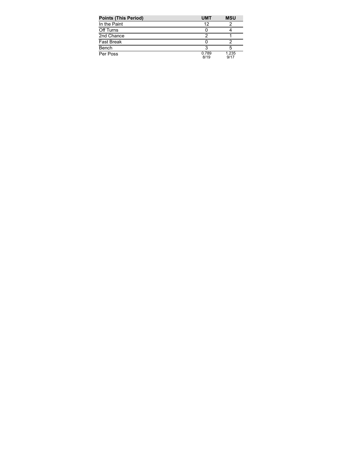| <b>Points (This Period)</b> | <b>UMT</b>    | <b>MSU</b>    |
|-----------------------------|---------------|---------------|
| In the Paint                | 12            |               |
| Off Turns                   |               |               |
| 2nd Chance                  |               |               |
| <b>Fast Break</b>           |               |               |
| Bench                       |               |               |
| Per Poss                    | 0.789<br>8/19 | 1.235<br>9/17 |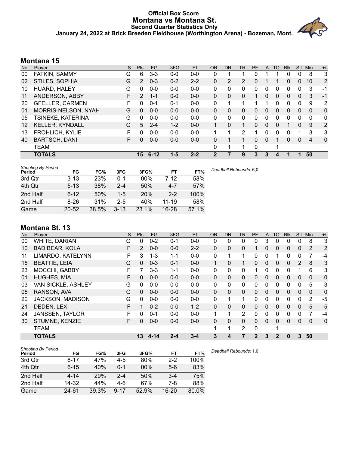#### **Official Box Score Montana vs Montana St. Second Quarter Statistics Only January 24, 2022 at Brick Breeden Fieldhouse (Worthington Arena) - Bozeman, Mont.**



| No.               | Player                 | S | <b>Pts</b>      | FG       | 3FG     | <b>FT</b> | <b>OR</b> | DR       | TR           | PF | A            | TO       | <b>B</b> lk | Stl      | Min      | $+/-$        |
|-------------------|------------------------|---|-----------------|----------|---------|-----------|-----------|----------|--------------|----|--------------|----------|-------------|----------|----------|--------------|
| 00                | FATKIN, SAMMY          | G | 6               | $3 - 3$  | $0 - 0$ | $0 - 0$   | 0         |          |              | 0  |              |          | 0           | 0        | 8        | 3            |
| 02                | STILES, SOPHIA         | G | 2               | $0 - 3$  | $0 - 2$ | $2 - 2$   | $\Omega$  | 2        | 2            | 0  |              |          | 0           | $\Omega$ | 10       | 2            |
| 10                | HUARD, HALEY           | G | 0               | $0 - 0$  | $0 - 0$ | $0 - 0$   | 0         | 0        | 0            | 0  | 0            | 0        | 0           | 0        | 3        | $-1$         |
| 11                | ANDERSON, ABBY         | F | 2               | $1 - 1$  | $0 - 0$ | $0 - 0$   | $\Omega$  | 0        | 0            |    | $\mathbf{0}$ | 0        | 0           | 0        | 3        | $-1$         |
| 20                | <b>GFELLER, CARMEN</b> | F | O               | $0 - 1$  | $0 - 1$ | $0 - 0$   | $\Omega$  |          | 1            |    |              | 0        | 0           | 0        | 9        | 2            |
| 01                | MORRIS-NELSON, NYAH    | G | 0               | $0 - 0$  | $0 - 0$ | $0 - 0$   | $\Omega$  | 0        | 0            | 0  | $\mathbf{0}$ | $\Omega$ | $\Omega$    | $\Omega$ | $\Omega$ | $\mathbf{0}$ |
| 05                | TSINEKE, KATERINA      | G | 0               | $0 - 0$  | $0 - 0$ | $0 - 0$   | 0         | $\Omega$ | 0            | 0  | 0            | $\Omega$ | 0           | 0        | 0        | 0            |
| $12 \overline{ }$ | <b>KELLER, KYNDALL</b> | G | 5               | $2 - 4$  | $1 - 2$ | $0 - 0$   | 1         | 0        | $\mathbf{1}$ | 0  | $\Omega$     | $\Omega$ |             | $\Omega$ | 9        | 2            |
| 13                | <b>FROHLICH, KYLIE</b> | F | 0               | $0 - 0$  | $0 - 0$ | $0 - 0$   |           |          | 2            |    | 0            | $\Omega$ | 0           |          | 3        | 3            |
| 40                | <b>BARTSCH, DANI</b>   | F | 0               | $0 - 0$  | $0-0$   | $0 - 0$   | 0         |          | 1.           | 0  | $\Omega$     |          | 0           | 0        | 4        | $\mathbf 0$  |
|                   | <b>TEAM</b>            |   |                 |          |         |           | 0         |          |              | 0  |              | ٠        |             |          |          |              |
|                   | <b>TOTALS</b>          |   | 15 <sup>1</sup> | $6 - 12$ | $1 - 5$ | $2 - 2$   | 2         |          | 9            | 3  | 3            | 4        |             |          | 50       |              |

| <b>Shooting By Period</b><br>Period | FG        | FG%   | 3FG      | 3FG%   | FT        | FT%   | Deadball Rebounds: 6,0 |
|-------------------------------------|-----------|-------|----------|--------|-----------|-------|------------------------|
| 3rd Qtr                             | $3 - 13$  | 23%   | $0 - 1$  | $00\%$ | 7-12      | 58%   |                        |
| 4th Qtr                             | $5 - 13$  | 38%   | $2 - 4$  | 50%    | $4 - 7$   | 57%   |                        |
| 2nd Half                            | $6 - 12$  | 50%   | $1-5$    | 20%    | $2 - 2$   | 100%  |                        |
| 2nd Half                            | $8 - 26$  | 31%   | $2 - 5$  | 40%    | $11 - 19$ | 58%   |                        |
| Game                                | $20 - 52$ | 38.5% | $3 - 13$ | 23.1%  | $16 - 28$ | 57.1% |                        |

# **Montana St. 13**

| No. | Plaver                 | S  | <b>Pts</b> | <b>FG</b> | 3FG     | <b>FT</b> | 0R       | DR.          | <b>TR</b>      | PF           | A            | TO           | <b>B</b> lk | <b>Stl</b> | Min      | $+/-$          |
|-----|------------------------|----|------------|-----------|---------|-----------|----------|--------------|----------------|--------------|--------------|--------------|-------------|------------|----------|----------------|
| 00  | WHITE, DARIAN          | G  | 0          | $0 - 2$   | 0-1     | $0-0$     | 0        | 0            | 0              | 0            | 3            | 0            | 0           | 0          | 8        | 3              |
| 10  | <b>BAD BEAR, KOLA</b>  | F  | 2          | $0 - 0$   | $0 - 0$ | $2 - 2$   | 0        | 0            | 0              |              | 0            | 0            | 0           | 0          | 2        | 2              |
| 11  | LIMARDO, KATELYNN      | F. | 3          | $1 - 3$   | $1 - 1$ | $0-0$     | 0        |              | 1              | 0            | 0            |              | 0           | 0          | 7        | $-4$           |
| 15  | <b>BEATTIE, LEIA</b>   | G  | $\Omega$   | $0 - 3$   | $0 - 1$ | $0 - 0$   |          | 0            | 1.             | 0            | $\mathbf{0}$ | 0            | 0           | 2          | 8        | 3              |
| 23  | MOCCHI, GABBY          | F  | 7          | $3 - 3$   | $1 - 1$ | $0 - 0$   | 0        | 0            | $\mathbf{0}$   | 1            | 0            | $\Omega$     | 0           |            | 6        | 3              |
| 01  | <b>HUGHES, MIA</b>     | F. | $\Omega$   | $0 - 0$   | $0 - 0$ | $0 - 0$   | 0        | $\mathbf{0}$ | $\mathbf{0}$   | 0            | $\mathbf{0}$ | $\Omega$     | $\Omega$    | $\Omega$   | $\Omega$ | $\mathbf 0$    |
| 03  | VAN SICKLE, ASHLEY     | G  | $\Omega$   | $0 - 0$   | $0 - 0$ | $0-0$     | 0        | 0            | $\mathbf{0}$   | 0            | 0            | $\Omega$     | 0           | $\Omega$   | 5        | $-3$           |
| 05  | RANSON, AVA            | G  | $\Omega$   | $0 - 0$   | $0 - 0$ | $0 - 0$   | 0        | $\mathbf{0}$ | $\mathbf{0}$   | 0            | $\mathbf{0}$ | $\Omega$     | 0           | $\Omega$   | $\Omega$ | $\overline{0}$ |
| 20  | JACKSON, MADISON       | G  | $\Omega$   | $0 - 0$   | $0 - 0$ | $0 - 0$   | 0        | 1            | 1              | 0            | 0            | $\Omega$     | 0           | $\Omega$   | 2        | $-5$           |
| 21  | DEDEN, LEXI            | F  |            | $0 - 2$   | $0 - 0$ | $1 - 2$   | $\Omega$ | 0            | $\mathbf{0}$   | 0            | $\Omega$     | $\Omega$     | $\Omega$    | $\Omega$   | 5        | $-5$           |
| 24  | <b>JANSSEN, TAYLOR</b> | F  | $\Omega$   | $0 - 1$   | $0 - 0$ | $0 - 0$   | 1        | 1            | $\overline{2}$ | 0            | 0            | $\Omega$     | 0           | $\Omega$   |          | $-4$           |
| 30  | STUMNE, KENZIE         | F. | 0          | $0 - 0$   | $0 - 0$ | $0 - 0$   | 0        | 0            | $\mathbf{0}$   | 0            | $\Omega$     | $\Omega$     | 0           | $\Omega$   | 0        | $\mathbf 0$    |
|     | <b>TEAM</b>            |    |            |           |         |           | 1        | 1            | 2              | 0            |              | 1            |             |            |          |                |
|     | <b>TOTALS</b>          |    | 13         | $4 - 14$  | $2 - 4$ | $3 - 4$   | 3        | 4            | 7              | $\mathbf{2}$ | 3            | $\mathbf{2}$ | 0           | 3          | 50       |                |

| <b>Shooting By Period</b><br>Period | FG        | FG%   | 3FG      | 3FG%  | FT        | FT%   | Dea |
|-------------------------------------|-----------|-------|----------|-------|-----------|-------|-----|
| 3rd Qtr                             | $8 - 17$  | 47%   | $4-5$    | 80%   | $2 - 2$   | 100%  |     |
| 4th Qtr                             | $6 - 15$  | 40%   | $0 - 1$  | 00%   | $5-6$     | 83%   |     |
| 2nd Half                            | $4 - 14$  | 29%   | $2 - 4$  | 50%   | $3-4$     | 75%   |     |
| 2nd Half                            | 14-32     | 44%   | 4-6      | 67%   | 7-8       | 88%   |     |
| Game                                | $24 - 61$ | 39.3% | $9 - 17$ | 52.9% | $16 - 20$ | 80.0% |     |

*Deadball Rebounds:* 1,0

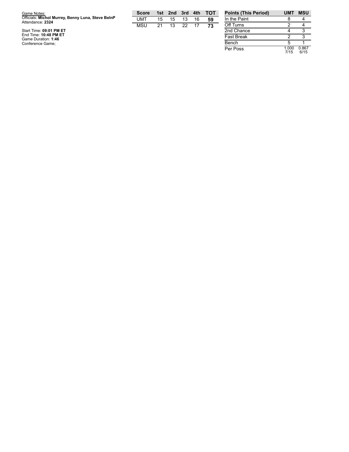| Game Notes:                                                           | <b>Score</b> |    | 1st 2nd 3rd |    | 4th | тот | <b>Points (This Pe</b> |
|-----------------------------------------------------------------------|--------------|----|-------------|----|-----|-----|------------------------|
| Officials: Michol Murrey, Benny Luna, Steve BelnP<br>Attendance: 2324 | UMT          | 15 | 15          | 13 | 16  | 59  | In the Paint           |
|                                                                       | MSU          | 21 | 13          | 22 | 17  | 73  | Off Turns              |
| Start Time: 09:01 PM ET                                               |              |    |             |    |     |     | 2nd Chance             |
| End Time: 10:48 PM ET<br>Game Duration: 1:46                          |              |    |             |    |     |     | <b>Fast Break</b>      |
| Conference Game;                                                      |              |    |             |    |     |     | Bench                  |

| <b>Points (This Period)</b> | <b>UMT</b>    | <b>MSU</b>    |
|-----------------------------|---------------|---------------|
| In the Paint                |               |               |
| Off Turns                   | 2             |               |
| 2nd Chance                  |               |               |
| <b>Fast Break</b>           | 2             |               |
| Bench                       | 5             |               |
| Per Poss                    | 1.000<br>7/15 | 0.867<br>6/15 |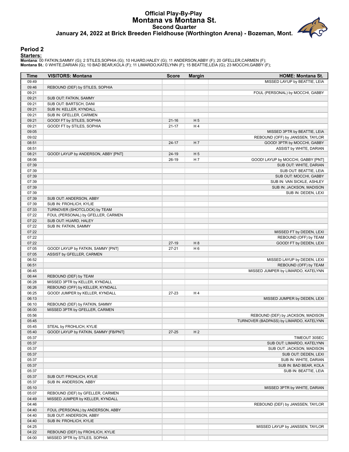## **Official Play-By-Play Montana vs Montana St. Second Quarter January 24, 2022 at Brick Breeden Fieldhouse (Worthington Arena) - Bozeman, Mont.**

#### **Period 2**

**Starters:**

Montana: 00 FATKIN,SAMMY (G); 2 STILES,SOPHIA (G); 10 HUARD,HALEY (G); 11 ANDERSON,ABBY (F); 20 GFELLER,CARMEN (F);<br>Montana **S**t.: 0 WHITE,DARIAN (G); 10 BAD BEAR,KOLA (F); 11 LIMARDO,KATELYNN (F); 15 BEATTIE,LEIA (G); 23

| Time           | <b>VISITORS: Montana</b>              | <b>Score</b> | <b>Margin</b>  | <b>HOME: Montana St.</b>                |
|----------------|---------------------------------------|--------------|----------------|-----------------------------------------|
| 09:49          |                                       |              |                | MISSED LAYUP by BEATTIE, LEIA           |
| 09:46          | REBOUND (DEF) by STILES, SOPHIA       |              |                |                                         |
| 09:21          |                                       |              |                | FOUL (PERSONAL) by MOCCHI, GABBY        |
| 09:21          | SUB OUT: FATKIN, SAMMY                |              |                |                                         |
| 09:21          | SUB OUT: BARTSCH, DANI                |              |                |                                         |
| 09:21          | SUB IN: KELLER, KYNDALL               |              |                |                                         |
| 09:21          | SUB IN: GFELLER, CARMEN               |              |                |                                         |
| 09:21          | GOOD! FT by STILES, SOPHIA            | $21 - 16$    | H <sub>5</sub> |                                         |
| 09:21          | GOOD! FT by STILES, SOPHIA            | $21 - 17$    | H4             |                                         |
| 09:05          |                                       |              |                | MISSED 3PTR by BEATTIE, LEIA            |
| 09:02          |                                       |              | H 7            | REBOUND (OFF) by JANSSEN, TAYLOR        |
| 08:51<br>08:51 |                                       | $24 - 17$    |                | GOOD! 3PTR by MOCCHI, GABBY             |
| 08:21          | GOOD! LAYUP by ANDERSON, ABBY [PNT]   | 24-19        | H <sub>5</sub> | ASSIST by WHITE, DARIAN                 |
| 08:06          |                                       | 26-19        | H 7            | GOOD! LAYUP by MOCCHI, GABBY [PNT]      |
| 07:39          |                                       |              |                | SUB OUT: WHITE, DARIAN                  |
| 07:39          |                                       |              |                | SUB OUT: BEATTIE, LEIA                  |
| 07:39          |                                       |              |                | SUB OUT: MOCCHI, GABBY                  |
| 07:39          |                                       |              |                | SUB IN: VAN SICKLE, ASHLEY              |
| 07:39          |                                       |              |                | SUB IN: JACKSON, MADISON                |
| 07:39          |                                       |              |                | SUB IN: DEDEN, LEXI                     |
| 07:39          | SUB OUT: ANDERSON, ABBY               |              |                |                                         |
| 07:39          | SUB IN: FROHLICH, KYLIE               |              |                |                                         |
| 07:33          | TURNOVER (SHOTCLOCK) by TEAM          |              |                |                                         |
| 07:22          | FOUL (PERSONAL) by GFELLER, CARMEN    |              |                |                                         |
| 07:22          | SUB OUT: HUARD, HALEY                 |              |                |                                         |
| 07:22          | SUB IN: FATKIN, SAMMY                 |              |                |                                         |
| 07:22          |                                       |              |                | MISSED FT by DEDEN, LEXI                |
| 07:22          |                                       |              |                | REBOUND (OFF) by TEAM                   |
| 07:22          |                                       | $27-19$      | H 8            | GOOD! FT by DEDEN, LEXI                 |
| 07:05          | GOOD! LAYUP by FATKIN, SAMMY [PNT]    | $27 - 21$    | H <sub>6</sub> |                                         |
| 07:05          | ASSIST by GFELLER, CARMEN             |              |                |                                         |
| 06:52          |                                       |              |                | MISSED LAYUP by DEDEN, LEXI             |
| 06:51          |                                       |              |                | REBOUND (OFF) by TEAM                   |
| 06:45          |                                       |              |                | MISSED JUMPER by LIMARDO, KATELYNN      |
| 06:44          | REBOUND (DEF) by TEAM                 |              |                |                                         |
| 06:28          | MISSED 3PTR by KELLER, KYNDALL        |              |                |                                         |
| 06:26          | REBOUND (OFF) by KELLER, KYNDALL      |              |                |                                         |
| 06:25<br>06:13 | GOOD! JUMPER by KELLER, KYNDALL       | $27-23$      | H4             |                                         |
| 06:10          | REBOUND (DEF) by FATKIN, SAMMY        |              |                | MISSED JUMPER by DEDEN, LEXI            |
| 06:00          | MISSED 3PTR by GFELLER, CARMEN        |              |                |                                         |
| 05:56          |                                       |              |                | REBOUND (DEF) by JACKSON, MADISON       |
| 05:45          |                                       |              |                | TURNOVER (BADPASS) by LIMARDO, KATELYNN |
| 05:45          | STEAL by FROHLICH, KYLIE              |              |                |                                         |
| 05:40          | GOOD! LAYUP by FATKIN, SAMMY [FB/PNT] | 27-25        | H <sub>2</sub> |                                         |
| 05:37          |                                       |              |                | TIMEOUT 30SEC                           |
| 05:37          |                                       |              |                | SUB OUT: LIMARDO, KATELYNN              |
| 05:37          |                                       |              |                | SUB OUT: JACKSON, MADISON               |
| 05:37          |                                       |              |                | SUB OUT: DEDEN, LEXI                    |
| 05:37          |                                       |              |                | SUB IN: WHITE, DARIAN                   |
| 05:37          |                                       |              |                | SUB IN: BAD BEAR, KOLA                  |
| 05:37          |                                       |              |                | SUB IN: BEATTIE, LEIA                   |
| 05:37          | SUB OUT: FROHLICH, KYLIE              |              |                |                                         |
| 05:37          | SUB IN: ANDERSON, ABBY                |              |                |                                         |
| 05:10          |                                       |              |                | MISSED 3PTR by WHITE, DARIAN            |
| 05:07          | REBOUND (DEF) by GFELLER, CARMEN      |              |                |                                         |
| 04:49          | MISSED JUMPER by KELLER, KYNDALL      |              |                |                                         |
| 04:46          |                                       |              |                | REBOUND (DEF) by JANSSEN, TAYLOR        |
| 04:40          | FOUL (PERSONAL) by ANDERSON, ABBY     |              |                |                                         |
| 04:40          | SUB OUT: ANDERSON, ABBY               |              |                |                                         |
| 04:40          | SUB IN: FROHLICH, KYLIE               |              |                |                                         |
| 04:25          |                                       |              |                | MISSED LAYUP by JANSSEN, TAYLOR         |
| 04:22          | REBOUND (DEF) by FROHLICH, KYLIE      |              |                |                                         |
| 04:00          | MISSED 3PTR by STILES, SOPHIA         |              |                |                                         |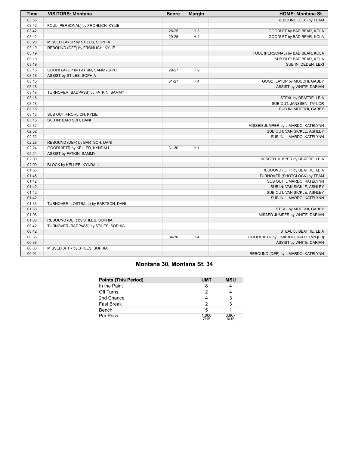| <b>Time</b> | <b>VISITORS: Montana</b>             | <b>Score</b> | <b>Margin</b>  | <b>HOME: Montana St.</b>             |
|-------------|--------------------------------------|--------------|----------------|--------------------------------------|
| 03:55       |                                      |              |                | REBOUND (DEF) by TEAM                |
| 03:42       | FOUL (PERSONAL) by FROHLICH, KYLIE   |              |                |                                      |
| 03:42       |                                      | 28-25        | $H_3$          | GOOD! FT by BAD BEAR, KOLA           |
| 03:42       |                                      | 29-25        | H4             | GOOD! FT by BAD BEAR, KOLA           |
| 03:20       | MISSED LAYUP by STILES, SOPHIA       |              |                |                                      |
| 03:19       | REBOUND (OFF) by FROHLICH, KYLIE     |              |                |                                      |
| 03:19       |                                      |              |                | FOUL (PERSONAL) by BAD BEAR, KOLA    |
| 03:19       |                                      |              |                | SUB OUT: BAD BEAR, KOLA              |
| 03:19       |                                      |              |                | SUB IN: DEDEN, LEXI                  |
| 03:18       | GOOD! LAYUP by FATKIN, SAMMY [PNT]   | 29-27        | H <sub>2</sub> |                                      |
| 03:18       | ASSIST by STILES, SOPHIA             |              |                |                                      |
| 03:18       |                                      | $31 - 27$    | H <sub>4</sub> | GOOD! LAYUP by MOCCHI, GABBY         |
| 03:18       |                                      |              |                | ASSIST by WHITE, DARIAN              |
| 03:18       | TURNOVER (BADPASS) by FATKIN, SAMMY  |              |                |                                      |
| 03:18       |                                      |              |                | STEAL by BEATTIE, LEIA               |
| 03:18       |                                      |              |                | SUB OUT: JANSSEN, TAYLOR             |
| 03:18       |                                      |              |                | SUB IN: MOCCHI, GABBY                |
| 03:15       | SUB OUT: FROHLICH, KYLIE             |              |                |                                      |
| 03:15       | SUB IN: BARTSCH, DANI                |              |                |                                      |
| 02:32       |                                      |              |                | MISSED JUMPER by LIMARDO, KATELYNN   |
| 02:32       |                                      |              |                | SUB OUT: VAN SICKLE, ASHLEY          |
| 02:32       |                                      |              |                | SUB IN: LIMARDO, KATELYNN            |
| 02:28       | REBOUND (DEF) by BARTSCH, DANI       |              |                |                                      |
| 02:24       | GOOD! 3PTR by KELLER, KYNDALL        | 31-30        | H <sub>1</sub> |                                      |
| 02:24       | ASSIST by FATKIN, SAMMY              |              |                |                                      |
| 02:00       |                                      |              |                | MISSED JUMPER by BEATTIE, LEIA       |
| 02:00       | BLOCK by KELLER, KYNDALL             |              |                |                                      |
| 01:55       |                                      |              |                | REBOUND (OFF) by BEATTIE, LEIA       |
| 01:45       |                                      |              |                | TURNOVER (SHOTCLOCK) by TEAM         |
| 01:42       |                                      |              |                | SUB OUT: LIMARDO, KATELYNN           |
| 01:42       |                                      |              |                | SUB IN: VAN SICKLE, ASHLEY           |
| 01:42       |                                      |              |                | SUB OUT: VAN SICKLE, ASHLEY          |
| 01:42       |                                      |              |                | SUB IN: LIMARDO, KATELYNN            |
| 01:33       | TURNOVER (LOSTBALL) by BARTSCH, DANI |              |                |                                      |
| 01:33       |                                      |              |                | STEAL by MOCCHI, GABBY               |
| 01:08       |                                      |              |                | MISSED JUMPER by WHITE, DARIAN       |
| 01:06       | REBOUND (DEF) by STILES, SOPHIA      |              |                |                                      |
| 00:42       | TURNOVER (BADPASS) by STILES, SOPHIA |              |                |                                      |
| 00:42       |                                      |              |                | STEAL by BEATTIE, LEIA               |
| 00:36       |                                      | 34-30        | H4             | GOOD! 3PTR by LIMARDO, KATELYNN [FB] |
| 00:36       |                                      |              |                | ASSIST by WHITE, DARIAN              |
| 00:03       | MISSED 3PTR by STILES, SOPHIA        |              |                |                                      |
| 00:01       |                                      |              |                | REBOUND (DEF) by LIMARDO, KATELYNN   |

# **Montana 30, Montana St. 34**

| Points (This Period) | <b>UMT</b>    | <b>MSU</b>    |
|----------------------|---------------|---------------|
| In the Paint         |               |               |
| Off Turns            |               |               |
| 2nd Chance           |               |               |
| Fast Break           |               |               |
| Bench                |               |               |
| Per Poss             | 1.000<br>7/15 | 0.867<br>6/15 |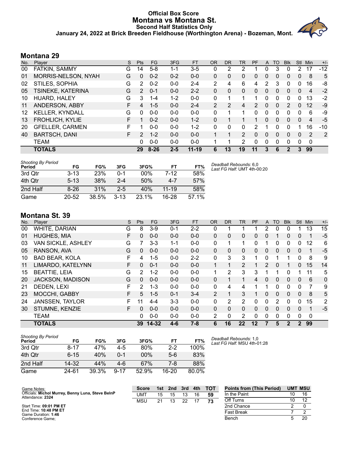#### **Official Box Score Montana vs Montana St. Second Half Statistics Only January 24, 2022 at Brick Breeden Fieldhouse (Worthington Arena) - Bozeman, Mont.**



## **Montana 29**

| No. | Plaver                 | S. | <b>Pts</b>     | <b>FG</b> | 3FG     | <b>FT</b> | 0R       | D <sub>R</sub> | TR | PF | A        | TO       | <b>Blk</b> | <b>Stl</b>   | Min         | $+/-$          |
|-----|------------------------|----|----------------|-----------|---------|-----------|----------|----------------|----|----|----------|----------|------------|--------------|-------------|----------------|
| 00  | FATKIN, SAMMY          | G  | 14             | $5-8$     | 1-1     | $3-5$     | 0        | 2              | 2  |    | 0        | 3        | 0          |              | 17          | $-12$          |
| 01  | MORRIS-NELSON, NYAH    | G  | 0              | $0 - 2$   | $0 - 2$ | $0 - 0$   | 0        | 0              | 0  | 0  | 0        | 0        | 0          | $\mathbf{0}$ | 8           | 5              |
| 02  | STILES, SOPHIA         | G  | 2              | $0 - 2$   | $0 - 0$ | $2 - 4$   | 2        | 4              | 6  | 4  | 2        | 3        | 0          | 0            | 16          | -8             |
| 05  | TSINEKE, KATERINA      | G  | $\overline{2}$ | $0 - 1$   | $0 - 0$ | $2 - 2$   | $\Omega$ | 0              | 0  | 0  | 0        | 0        | 0          | $\Omega$     | 4           | $-2$           |
| 10  | HUARD, HALEY           | G  | 3              | $1 - 4$   | $1 - 2$ | $0 - 0$   | 0        |                |    |    |          | 0        | 0          | 0            | 13          | $-2$           |
| 11  | ANDERSON, ABBY         | F  | 4              | $1 - 5$   | $0 - 0$ | $2 - 4$   | 2        | $\mathcal{P}$  | 4  | 2  | $\Omega$ | 0        | 2          | $\Omega$     | 12          | -9             |
| 12  | <b>KELLER, KYNDALL</b> | G  | 0              | $0 - 0$   | $0 - 0$ | $0 - 0$   | $\Omega$ | 1              | 1  | 0  | $\Omega$ | 0        | 0          | $\Omega$     | 6           | -9             |
| 13  | <b>FROHLICH, KYLIE</b> | F  |                | $0 - 2$   | $0 - 0$ | $1 - 2$   | $\Omega$ |                |    | 1  | 0        | 0        | 0          | $\Omega$     | 4           | $-5$           |
| 20  | <b>GFELLER, CARMEN</b> | F  |                | $0 - 0$   | $0 - 0$ | $1 - 2$   | 0        | $\Omega$       | 0  | 2  |          | ŋ        | 0          |              | 16          | $-10$          |
| 40  | <b>BARTSCH, DANI</b>   | F  | $\overline{2}$ | $1 - 2$   | $0 - 0$ | $0 - 0$   |          |                | 2  | 0  | $\Omega$ | 0        | 0          | $\Omega$     | 2           | $\overline{2}$ |
|     | TEAM                   |    | 0              | $0 - 0$   | $0 - 0$ | $0 - 0$   |          |                | 2  | 0  | $\Omega$ | $\Omega$ | 0          | $\Omega$     | $\mathbf 0$ |                |
|     | <b>TOTALS</b>          |    | 29             | $8 - 26$  | $2 - 5$ | $11 - 19$ | 6        | 13             | 19 | 11 | 3        | 6        | 2          | 3            | 99          |                |

| <b>Shooting By Period</b><br>Period | FG        | FG%        | 3FG      | 3FG%   | FT        | FT%   | Deadball Rebounds: 6,0<br>Last FG Half: UMT 4th-00:20 |
|-------------------------------------|-----------|------------|----------|--------|-----------|-------|-------------------------------------------------------|
| 3rd Qtr                             | $3 - 13$  | <b>23%</b> | 0-1      | $00\%$ | 7-12      | 58%   |                                                       |
| 4th Otr                             | $5 - 13$  | 38%        | $2 - 4$  | 50%    | 4-7       | 57%   |                                                       |
| 2nd Half                            | $8 - 26$  | 31%        | $2 - 5$  | 40%    | $11 - 19$ | 58%   |                                                       |
| Game                                | $20 - 52$ | 38.5%      | $3 - 13$ | 23.1%  | $16 - 28$ | 57.1% |                                                       |

## **Montana St. 39**

| No. | Player                 | S  | Pts      | <b>FG</b> | 3FG     | <b>FT</b> | <b>OR</b>      | <b>DR</b>      | <b>TR</b>      | PF | A            | <b>TO</b> | <b>Blk</b>   | Stl            | Min         | $+/-$          |
|-----|------------------------|----|----------|-----------|---------|-----------|----------------|----------------|----------------|----|--------------|-----------|--------------|----------------|-------------|----------------|
| 00  | WHITE, DARIAN          | G  | 8        | $3-9$     | $0 - 1$ | $2 - 2$   | 0              |                |                |    | 2            | 0         | 0            |                | 13          | 15             |
| 01  | <b>HUGHES, MIA</b>     | F  | 0        | $0 - 0$   | $0 - 0$ | $0 - 0$   | 0              | 0              | 0              | 0  | 0            |           | 0            | $\mathbf{0}$   |             | $-5$           |
| 03  | VAN SICKLE, ASHLEY     | G  |          | $3 - 3$   | $1 - 1$ | $0 - 0$   | 0              |                | 1              | 0  |              | 0         | 0            | 0              | 12          | 6              |
| 05  | RANSON, AVA            | G  | 0        | $0 - 0$   | $0 - 0$ | $0 - 0$   | 0              | 0              | 0              | 0  | 0            | 0         | 0            | $\mathbf{0}$   | 1           | $-5$           |
| 10  | <b>BAD BEAR, KOLA</b>  | F  | 4        | $1 - 5$   | $0 - 0$ | $2 - 2$   | 0              | 3              | 3              |    | 0            |           |              | 0              | 8           | 9              |
| 11  | LIMARDO, KATELYNN      | F. | 0        | $0 - 1$   | $0 - 0$ | $0 - 0$   | 1              | 1              | $\overline{2}$ |    | 2            | $\Omega$  | 1            | $\Omega$       | 15          | 14             |
| 15  | <b>BEATTIE, LEIA</b>   | G  | 2        | $1 - 2$   | $0 - 0$ | $0 - 0$   |                | 2              | 3              | 3  |              |           | 0            |                | 11          | 5              |
| 20  | JACKSON, MADISON       | G  | $\Omega$ | $0 - 0$   | $0 - 0$ | $0 - 0$   | 0              | 1              | 1              | 4  | $\mathbf{0}$ | $\Omega$  | $\Omega$     | $\mathbf{0}$   | 6           | $\mathbf{0}$   |
| 21  | DEDEN, LEXI            | F. | 2        | $1 - 3$   | $0 - 0$ | $0 - 0$   | 0              | 4              | 4              |    |              | 0         | 0            | $\Omega$       |             | 9              |
| 23  | MOCCHI, GABBY          | F  | 5        | $1 - 5$   | $0 - 1$ | $3 - 4$   | $\overline{2}$ | 1              | 3              | 1  | 0            | $\Omega$  | $\Omega$     | $\Omega$       | 8           | 5              |
| 24  | <b>JANSSEN, TAYLOR</b> | F. | 11       | $4 - 4$   | $3 - 3$ | $0 - 0$   | 0              | $\overline{2}$ | $\overline{2}$ | 0  | 0            | 2         | 0            | 0              | 15          | $\overline{2}$ |
| 30  | STUMNE, KENZIE         | F. | $\Omega$ | $0 - 0$   | $0 - 0$ | $0 - 0$   | $\Omega$       | 0              | $\Omega$       | 0  | $\Omega$     | $\Omega$  | $\Omega$     | $\Omega$       | 1           | $-5$           |
|     | <b>TEAM</b>            |    | 0        | $0 - 0$   | $0 - 0$ | $0-0$     | 2              | $\mathbf 0$    | $\overline{2}$ | 0  | 0            | 0         | $\mathbf{0}$ | $\mathbf{0}$   | $\mathbf 0$ |                |
|     | <b>TOTALS</b>          |    | 39       | 14-32     | $4 - 6$ | $7 - 8$   | 6              | 16             | 22             | 12 | 7            | 5         | $\mathbf{2}$ | $\mathfrak{p}$ | 99          |                |

**Score 1st 2nd 3rd 4th TOT** UMT 15 15 13 16 **59** MSU 21 13 22 17 **73**

| <b>Shooting By Period</b><br>Period | FG        | FG%   | 3FG      | 3FG%  | FT        | FT%   | Deadball Rebounds: 1,0<br>Last FG Half: MSU 4th-01:28 |
|-------------------------------------|-----------|-------|----------|-------|-----------|-------|-------------------------------------------------------|
| 3rd Qtr                             | $8 - 17$  | 47%   | 4-5      | 80%   | $2 - 2$   | 100%  |                                                       |
| 4th Otr                             | $6 - 15$  | 40%   | $0 - 1$  | 00%   | 5-6       | 83%   |                                                       |
| 2nd Half                            | $14 - 32$ | 44%   | 4-6      | 67%   | 7-8       | 88%   |                                                       |
| Game                                | 24-61     | 39.3% | $9 - 17$ | 52.9% | $16 - 20$ | 80.0% |                                                       |

| <b>Points from (This Period)</b> |    | <b>UMT MSU</b> |
|----------------------------------|----|----------------|
| In the Paint                     | 10 | 16             |
| Off Turns                        | 10 | 12             |
| 2nd Chance                       | 2  |                |
| <b>Fast Break</b>                |    |                |
| Bench                            | n  | 2Ο             |

Start Time: **09:01 PM ET** End Time: **10:48 PM ET** Game Duration: **1:46** Conference Game;

Attendance: **2324**

Game Notes: Officials: **Michol Murrey, Benny Luna, Steve BelnP**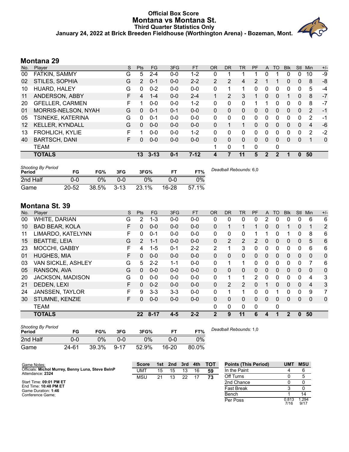#### **Official Box Score Montana vs Montana St. Third Quarter Statistics Only January 24, 2022 at Brick Breeden Fieldhouse (Worthington Arena) - Bozeman, Mont.**



| No.               | Player                 | S  | <b>Pts</b>     | FG.      | 3FG     | <b>FT</b> | <b>OR</b>      | D <sub>R</sub> | TR | PF       | $\mathsf{A}$     | TO | <b>BIK</b> | Stl          | Min           | $+/-$        |
|-------------------|------------------------|----|----------------|----------|---------|-----------|----------------|----------------|----|----------|------------------|----|------------|--------------|---------------|--------------|
| 00                | FATKIN, SAMMY          | G  | 5              | $2 - 4$  | $0-0$   | $1 - 2$   | 0              |                |    |          | 0                |    |            | 0            | 10            | -9           |
| 02                | STILES, SOPHIA         | G  | $\overline{2}$ | $0 - 1$  | $0 - 0$ | $2 - 2$   | $\overline{2}$ | 2              | 4  | 2        |                  |    | 0          | $\mathbf{0}$ | 8             | -8           |
| 10                | HUARD, HALEY           | G  | O              | $0 - 2$  | $0 - 0$ | $0 - 0$   | 0              |                | 1  | 0        |                  | 0  | 0          | 0            | 5             | -4           |
| 11                | ANDERSON, ABBY         | F  | 4              | $1 - 4$  | $0 - 0$ | $2 - 4$   | 1              | $\overline{2}$ | 3  |          | 0                | 0  | 1          | 0            | 8             | $-7$         |
| 20                | <b>GFELLER, CARMEN</b> | F  |                | $0 - 0$  | $0 - 0$ | $1 - 2$   | 0              | $\Omega$       | 0  |          |                  | 0  | 0          | $\Omega$     | 8             | $-7$         |
| 01                | MORRIS-NELSON, NYAH    | G  | 0              | $0 - 1$  | $0 - 1$ | $0 - 0$   | $\Omega$       | $\Omega$       | 0  | 0        | $\Omega$         | 0  | $\Omega$   | $\Omega$     | $\mathcal{P}$ | $-1$         |
| 05                | TSINEKE, KATERINA      | G  | 0              | $0 - 1$  | $0 - 0$ | $0 - 0$   | 0              | $\Omega$       | 0  | 0        | $\mathbf{0}$     | 0  | 0          | $\mathbf{0}$ | 2             | -1           |
| $12 \overline{ }$ | <b>KELLER, KYNDALL</b> | G  | 0              | $0 - 0$  | $0 - 0$ | $0 - 0$   | 0              |                | 1  | 0        | 0                | 0  | $\Omega$   | $\Omega$     | 4             | $-6$         |
| 13                | <b>FROHLICH, KYLIE</b> | F  |                | $0 - 0$  | $0 - 0$ | $1 - 2$   | $\Omega$       | 0              | 0  | 0        | 0                | 0  | 0          | 0            | 2             | $-2$         |
| 40                | <b>BARTSCH, DANI</b>   | F. | 0              | $0 - 0$  | $0 - 0$ | $0 - 0$   | $\Omega$       | $\mathbf{0}$   | 0  | $\Omega$ | $\mathbf{0}$     | 0  | 0          | $\mathbf{0}$ |               | $\mathbf{0}$ |
|                   | <b>TEAM</b>            |    |                |          |         |           | 1              | 0              | 1  | 0        |                  | 0  |            |              |               |              |
|                   | <b>TOTALS</b>          |    | 13             | $3 - 13$ | $0 - 1$ | $7-12$    | 4              |                | 11 | 5        | $\boldsymbol{P}$ | 2  |            | $\Omega$     | 50            |              |

| <b>Shooting By Period</b><br>Period | FG        | FG%   | 3FG      | 3FG%  |           | FT%   | Deadball Rebounds: 6,0 |
|-------------------------------------|-----------|-------|----------|-------|-----------|-------|------------------------|
| 2nd Half                            | 0-0       | 0%    | 0-0      | $0\%$ | 0-0       | 0%    |                        |
| Game                                | $20 - 52$ | 38.5% | $3 - 13$ | 23.1% | $16 - 28$ | 57.1% |                        |

## **Montana St. 39**

| No. | Player                | S  | Pts           | FG.      | 3FG     | <b>FT</b> | <b>OR</b>    | <b>DR</b>      | <b>TR</b>      | PF            | A            | TO       | <b>B</b> lk | <b>Stl</b>   | Min            | $+/-$          |
|-----|-----------------------|----|---------------|----------|---------|-----------|--------------|----------------|----------------|---------------|--------------|----------|-------------|--------------|----------------|----------------|
| 00  | WHITE, DARIAN         | G  | 2             | $1 - 3$  | $0 - 0$ | $0 - 0$   | 0            | 0              | 0              | 0             | 2            | 0        | 0           | 0            | 6              | 6              |
| 10  | <b>BAD BEAR, KOLA</b> | F  | 0             | $0 - 0$  | $0 - 0$ | $0 - 0$   | 0            | 1              | 1              |               | 0            | 0        |             | $\mathbf{0}$ | 1              | $\overline{2}$ |
| 11  | LIMARDO, KATELYNN     | F. | $\Omega$      | $0 - 1$  | $0 - 0$ | $0-0$     | 0            | 0              | $\mathbf{0}$   |               |              | $\Omega$ | 1           | 0            | 8              | 6              |
| 15  | <b>BEATTIE, LEIA</b>  | G  | $\mathcal{P}$ | $1 - 1$  | $0 - 0$ | $0 - 0$   | 0            | $\overline{2}$ | $\overline{2}$ | $\mathcal{P}$ | 0            | $\Omega$ | 0           | $\mathbf{0}$ | 5              | $6\phantom{1}$ |
| 23  | MOCCHI, GABBY         | F  | 4             | $1 - 5$  | $0 - 1$ | $2 - 2$   | 2            | 1              | 3              | 0             | 0            | $\Omega$ | 0           | $\Omega$     | 6              | 6              |
| 01  | <b>HUGHES, MIA</b>    | F. | $\Omega$      | $0 - 0$  | $0 - 0$ | $0 - 0$   | $\Omega$     | 0              | $\mathbf{0}$   | 0             | $\mathbf{0}$ | $\Omega$ | 0           | $\Omega$     | $\mathbf{0}$   | $\Omega$       |
| 03  | VAN SICKLE, ASHLEY    | G  | 5             | $2 - 2$  | $1 - 1$ | $0 - 0$   | 0            | 1              | 1              | 0             | 0            | 0        | 0           | 0            |                | 6              |
| 05  | RANSON, AVA           | G  | $\Omega$      | $0 - 0$  | $0 - 0$ | $0 - 0$   | $\Omega$     | 0              | $\Omega$       | 0             | $\Omega$     | $\Omega$ | $\Omega$    | $\Omega$     | $\mathbf{0}$   | $\Omega$       |
| 20  | JACKSON, MADISON      | G  | $\Omega$      | $0 - 0$  | $0 - 0$ | $0 - 0$   | 0            | 1              | 1              | 2             | 0            | $\Omega$ | 0           | $\Omega$     | 4              | 3              |
| 21  | DEDEN, LEXI           | F  | 0             | $0 - 2$  | $0 - 0$ | $0 - 0$   | 0            | $\overline{2}$ | $\overline{2}$ | 0             |              | $\Omega$ | 0           | $\mathbf{0}$ | $\overline{4}$ | 3              |
| 24  | JANSSEN, TAYLOR       | F  | 9             | $3 - 3$  | $3 - 3$ | $0 - 0$   | 0            |                | 1              | 0             | 0            |          | 0           | 0            | 9              | 7              |
| 30  | STUMNE, KENZIE        | F  | 0             | $0 - 0$  | $0 - 0$ | $0 - 0$   | $\Omega$     | 0              | $\Omega$       | 0             | 0            | $\Omega$ | $\Omega$    | $\Omega$     | $\Omega$       | $\mathbf 0$    |
|     | <b>TEAM</b>           |    |               |          |         |           | 0            | 0              | $\mathbf{0}$   | 0             |              | 0        |             |              |                |                |
|     | <b>TOTALS</b>         |    | $22 \,$       | $8 - 17$ | $4 - 5$ | $2 - 2$   | $\mathbf{2}$ | 9              | 11             | 6             | 4            |          | 2           | 0            | 50             |                |

| <b>Shooting By Period</b><br>Period | FG    | FG%   | 3FG      | 3FG%  |           | FT%   | Deadball Rebounds: 1,0 |
|-------------------------------------|-------|-------|----------|-------|-----------|-------|------------------------|
| 2nd Half                            | 0-0   | 0%    | 0-0      | $0\%$ | 0-0       | 0%    |                        |
| Game                                | 24-61 | 39.3% | $9 - 17$ | 52.9% | $16 - 20$ | 80.0% |                        |

| Game Notes:                                                           | Score |    | 1st 2nd 3rd 4th |    |    | тот | <b>Points (This Period)</b> | <b>UMT</b>    | <b>MSU</b>    |
|-----------------------------------------------------------------------|-------|----|-----------------|----|----|-----|-----------------------------|---------------|---------------|
| Officials: Michol Murrey, Benny Luna, Steve BelnP<br>Attendance: 2324 | UMT   | 15 | 15              | 13 | 16 | 59  | In the Paint                |               |               |
|                                                                       | MSU   | 21 | 13              | 22 |    | 73  | Off Turns                   |               |               |
| Start Time: 09:01 PM ET                                               |       |    |                 |    |    |     | 2nd Chance                  |               |               |
| End Time: 10:48 PM ET<br>Game Duration: 1:46                          |       |    |                 |    |    |     | <b>Fast Break</b>           |               |               |
| Conference Game;                                                      |       |    |                 |    |    |     | Bench                       |               | 14            |
|                                                                       |       |    |                 |    |    |     | Per Poss                    | 0.813<br>7/16 | 1.294<br>9/17 |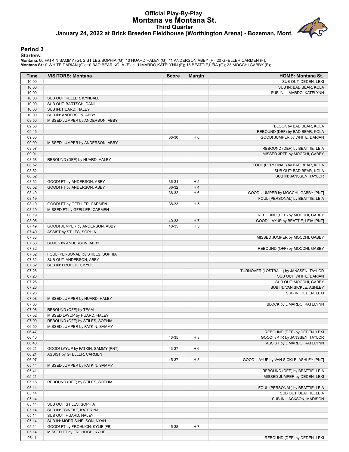## **Official Play-By-Play Montana vs Montana St. Third Quarter January 24, 2022 at Brick Breeden Fieldhouse (Worthington Arena) - Bozeman, Mont.**

#### **Period 3**

**Starters:**

Montana: 00 FATKIN,SAMMY (G); 2 STILES,SOPHIA (G); 10 HUARD,HALEY (G); 11 ANDERSON,ABBY (F); 20 GFELLER,CARMEN (F);<br>Montana **S**t.: 0 WHITE,DARIAN (G); 10 BAD BEAR,KOLA (F); 11 LIMARDO,KATELYNN (F); 15 BEATTIE,LEIA (G); 23

| Time           | <b>VISITORS: Montana</b>           | <b>Score</b> | <b>Margin</b>  | <b>HOME: Montana St.</b>                |
|----------------|------------------------------------|--------------|----------------|-----------------------------------------|
| 10:00          |                                    |              |                | SUB OUT: DEDEN, LEXI                    |
| 10:00          |                                    |              |                | SUB IN: BAD BEAR, KOLA                  |
| 10:00          |                                    |              |                | SUB IN: LIMARDO, KATELYNN               |
| 10:00          | SUB OUT: KELLER, KYNDALL           |              |                |                                         |
| 10:00          | SUB OUT: BARTSCH, DANI             |              |                |                                         |
| 10:00          | SUB IN: HUARD, HALEY               |              |                |                                         |
| 10:00          | SUB IN: ANDERSON, ABBY             |              |                |                                         |
| 09:50          | MISSED JUMPER by ANDERSON, ABBY    |              |                |                                         |
| 09:50          |                                    |              |                | BLOCK by BAD BEAR, KOLA                 |
| 09:45<br>09:36 |                                    |              |                | REBOUND (DEF) by BAD BEAR, KOLA         |
|                |                                    | 36-30        | H <sub>6</sub> | GOOD! JUMPER by WHITE, DARIAN           |
| 09:09<br>09:07 | MISSED JUMPER by ANDERSON, ABBY    |              |                | REBOUND (DEF) by BEATTIE, LEIA          |
| 09:01          |                                    |              |                | MISSED 3PTR by MOCCHI, GABBY            |
| 08:58          | REBOUND (DEF) by HUARD, HALEY      |              |                |                                         |
| 08:52          |                                    |              |                | FOUL (PERSONAL) by BAD BEAR, KOLA       |
| 08:52          |                                    |              |                | SUB OUT: BAD BEAR, KOLA                 |
| 08:52          |                                    |              |                | SUB IN: JANSSEN, TAYLOR                 |
| 08:52          | GOOD! FT by ANDERSON, ABBY         | 36-31        | H <sub>5</sub> |                                         |
| 08:52          | GOOD! FT by ANDERSON, ABBY         | 36-32        | H 4            |                                         |
| 08:40          |                                    | 38-32        | H <sub>6</sub> | GOOD! JUMPER by MOCCHI, GABBY [PNT]     |
| 08:19          |                                    |              |                | FOUL (PERSONAL) by BEATTIE, LEIA        |
| 08:19          | GOOD! FT by GFELLER, CARMEN        | 38-33        | H <sub>5</sub> |                                         |
| 08:19          | MISSED FT by GFELLER, CARMEN       |              |                |                                         |
| 08:19          |                                    |              |                | REBOUND (DEF) by MOCCHI, GABBY          |
| 08:05          |                                    | 40-33        | H 7            | GOOD! LAYUP by BEATTIE, LEIA [PNT]      |
| 07:49          | GOOD! JUMPER by ANDERSON, ABBY     | 40-35        | H <sub>5</sub> |                                         |
| 07:49          | ASSIST by STILES, SOPHIA           |              |                |                                         |
| 07:33          |                                    |              |                | MISSED JUMPER by MOCCHI, GABBY          |
| 07:33          | BLOCK by ANDERSON, ABBY            |              |                |                                         |
| 07:32          |                                    |              |                | REBOUND (OFF) by MOCCHI, GABBY          |
| 07:32          | FOUL (PERSONAL) by STILES, SOPHIA  |              |                |                                         |
| 07:32          | SUB OUT: ANDERSON, ABBY            |              |                |                                         |
| 07:32          | SUB IN: FROHLICH, KYLIE            |              |                |                                         |
| 07:26          |                                    |              |                | TURNOVER (LOSTBALL) by JANSSEN, TAYLOR  |
| 07:26          |                                    |              |                | SUB OUT: WHITE, DARIAN                  |
| 07:26          |                                    |              |                | SUB OUT: MOCCHI, GABBY                  |
| 07:26          |                                    |              |                | SUB IN: VAN SICKLE, ASHLEY              |
| 07:26          |                                    |              |                | SUB IN: DEDEN, LEXI                     |
| 07:08          | MISSED JUMPER by HUARD, HALEY      |              |                |                                         |
| 07:08          |                                    |              |                | BLOCK by LIMARDO, KATELYNN              |
| 07:08          | REBOUND (OFF) by TEAM              |              |                |                                         |
| 07:02          | MISSED LAYUP by HUARD, HALEY       |              |                |                                         |
| 07:00          | REBOUND (OFF) by STILES, SOPHIA    |              |                |                                         |
| 06:50          | MISSED JUMPER by FATKIN, SAMMY     |              |                |                                         |
| 06:47          |                                    |              |                | REBOUND (DEF) by DEDEN, LEXI            |
| 06:40          |                                    | 43-35        | H <sub>8</sub> | GOOD! 3PTR by JANSSEN, TAYLOR           |
| 06:40          |                                    |              |                | ASSIST by LIMARDO, KATELYNN             |
| 06:21          | GOOD! LAYUP by FATKIN, SAMMY [PNT] | 43-37        | H <sub>6</sub> |                                         |
| 06:21          | ASSIST by GFELLER, CARMEN          |              |                |                                         |
| 06:07          |                                    | 45-37        | H <sub>8</sub> | GOOD! LAYUP by VAN SICKLE, ASHLEY [PNT] |
| 05:44          | MISSED JUMPER by FATKIN, SAMMY     |              |                |                                         |
| 05:41          |                                    |              |                | REBOUND (DEF) by BEATTIE, LEIA          |
| 05:21          |                                    |              |                | MISSED JUMPER by DEDEN, LEXI            |
| 05:18<br>05:14 | REBOUND (DEF) by STILES, SOPHIA    |              |                | FOUL (PERSONAL) by BEATTIE, LEIA        |
| 05:14          |                                    |              |                | SUB OUT: BEATTIE, LEIA                  |
| 05:14          |                                    |              |                | SUB IN: JACKSON, MADISON                |
| 05:14          | SUB OUT: STILES, SOPHIA            |              |                |                                         |
| 05:14          | SUB IN: TSINEKE, KATERINA          |              |                |                                         |
| 05:14          | SUB OUT: HUARD, HALEY              |              |                |                                         |
| 05:14          | SUB IN: MORRIS-NELSON, NYAH        |              |                |                                         |
| 05:14          | GOOD! FT by FROHLICH, KYLIE [FB]   | 45-38        | H7             |                                         |
| 05:14          | MISSED FT by FROHLICH, KYLIE       |              |                |                                         |
| 05:11          |                                    |              |                | REBOUND (DEF) by DEDEN, LEXI            |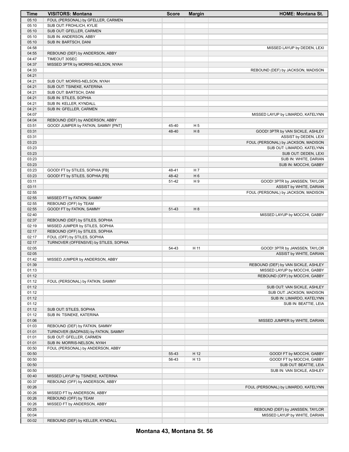| Time           | <b>VISITORS: Montana</b>                                               | <b>Score</b> | <b>Margin</b>  | <b>HOME: Montana St.</b>             |
|----------------|------------------------------------------------------------------------|--------------|----------------|--------------------------------------|
| 05:10          | FOUL (PERSONAL) by GFELLER, CARMEN                                     |              |                |                                      |
| 05:10          | SUB OUT: FROHLICH, KYLIE                                               |              |                |                                      |
| 05:10          | SUB OUT: GFELLER, CARMEN                                               |              |                |                                      |
| 05:10          | SUB IN: ANDERSON, ABBY                                                 |              |                |                                      |
| 05:10          | SUB IN: BARTSCH, DANI                                                  |              |                |                                      |
| 04:58          |                                                                        |              |                | MISSED LAYUP by DEDEN, LEXI          |
| 04:55          | REBOUND (DEF) by ANDERSON, ABBY                                        |              |                |                                      |
| 04:47          | TIMEOUT 30SEC                                                          |              |                |                                      |
| 04:37          | MISSED 3PTR by MORRIS-NELSON, NYAH                                     |              |                |                                      |
| 04:33          |                                                                        |              |                | REBOUND (DEF) by JACKSON, MADISON    |
| 04:21          |                                                                        |              |                |                                      |
| 04:21          | SUB OUT: MORRIS-NELSON, NYAH                                           |              |                |                                      |
| 04:21          | SUB OUT: TSINEKE, KATERINA                                             |              |                |                                      |
| 04:21          | SUB OUT: BARTSCH, DANI                                                 |              |                |                                      |
| 04:21          | SUB IN: STILES, SOPHIA                                                 |              |                |                                      |
| 04:21          | SUB IN: KELLER, KYNDALL                                                |              |                |                                      |
| 04:21          | SUB IN: GFELLER, CARMEN                                                |              |                |                                      |
| 04:07          |                                                                        |              |                | MISSED LAYUP by LIMARDO, KATELYNN    |
| 04:04          | REBOUND (DEF) by ANDERSON, ABBY                                        |              |                |                                      |
| 03:51          | GOOD! JUMPER by FATKIN, SAMMY [PNT]                                    | 45-40        | H <sub>5</sub> |                                      |
| 03:31          |                                                                        | 48-40        | H 8            | GOOD! 3PTR by VAN SICKLE, ASHLEY     |
| 03:31          |                                                                        |              |                | ASSIST by DEDEN, LEXI                |
| 03:23          |                                                                        |              |                | FOUL (PERSONAL) by JACKSON, MADISON  |
| 03:23          |                                                                        |              |                | SUB OUT: LIMARDO, KATELYNN           |
| 03:23          |                                                                        |              |                | SUB OUT: DEDEN, LEXI                 |
| 03:23          |                                                                        |              |                | SUB IN: WHITE, DARIAN                |
| 03:23          |                                                                        |              |                | SUB IN: MOCCHI, GABBY                |
| 03:23          | GOOD! FT by STILES, SOPHIA [FB]                                        | 48-41        | H 7            |                                      |
| 03:23          | GOOD! FT by STILES, SOPHIA [FB]                                        | 48-42        | H <sub>6</sub> |                                      |
| 03:11          |                                                                        | 51-42        | H <sub>9</sub> | GOOD! 3PTR by JANSSEN, TAYLOR        |
| 03:11          |                                                                        |              |                | ASSIST by WHITE, DARIAN              |
| 02:55          |                                                                        |              |                | FOUL (PERSONAL) by JACKSON, MADISON  |
| 02:55          | MISSED FT by FATKIN, SAMMY                                             |              |                |                                      |
| 02:55          | REBOUND (OFF) by TEAM                                                  |              |                |                                      |
| 02:55          | GOOD! FT by FATKIN, SAMMY                                              | 51-43        | H 8            |                                      |
| 02:40<br>02:37 |                                                                        |              |                | MISSED LAYUP by MOCCHI, GABBY        |
| 02:19          | REBOUND (DEF) by STILES, SOPHIA                                        |              |                |                                      |
| 02:17          | MISSED JUMPER by STILES, SOPHIA                                        |              |                |                                      |
| 02:17          | REBOUND (OFF) by STILES, SOPHIA                                        |              |                |                                      |
| 02:17          | FOUL (OFF) by STILES, SOPHIA<br>TURNOVER (OFFENSIVE) by STILES, SOPHIA |              |                |                                      |
| 02:05          |                                                                        | 54-43        | H 11           | GOOD! 3PTR by JANSSEN, TAYLOR        |
| 02:05          |                                                                        |              |                | ASSIST by WHITE, DARIAN              |
| 01:42          | MISSED JUMPER by ANDERSON, ABBY                                        |              |                |                                      |
| 01:39          |                                                                        |              |                | REBOUND (DEF) by VAN SICKLE, ASHLEY  |
| 01:13          |                                                                        |              |                | MISSED LAYUP by MOCCHI, GABBY        |
| 01:12          |                                                                        |              |                | REBOUND (OFF) by MOCCHI, GABBY       |
| 01:12          | FOUL (PERSONAL) by FATKIN, SAMMY                                       |              |                |                                      |
| 01:12          |                                                                        |              |                | SUB OUT: VAN SICKLE, ASHLEY          |
| 01:12          |                                                                        |              |                | SUB OUT: JACKSON, MADISON            |
| 01:12          |                                                                        |              |                | SUB IN: LIMARDO, KATELYNN            |
| 01:12          |                                                                        |              |                | SUB IN: BEATTIE, LEIA                |
| 01:12          | SUB OUT: STILES, SOPHIA                                                |              |                |                                      |
| 01:12          | SUB IN: TSINEKE, KATERINA                                              |              |                |                                      |
| 01:06          |                                                                        |              |                | MISSED JUMPER by WHITE, DARIAN       |
| 01:03          | REBOUND (DEF) by FATKIN, SAMMY                                         |              |                |                                      |
| 01:01          | TURNOVER (BADPASS) by FATKIN, SAMMY                                    |              |                |                                      |
| 01:01          | SUB OUT: GFELLER, CARMEN                                               |              |                |                                      |
| 01:01          | SUB IN: MORRIS-NELSON, NYAH                                            |              |                |                                      |
| 00:50          | FOUL (PERSONAL) by ANDERSON, ABBY                                      |              |                |                                      |
| 00:50          |                                                                        | 55-43        | H 12           | GOOD! FT by MOCCHI, GABBY            |
| 00:50          |                                                                        | 56-43        | H 13           | GOOD! FT by MOCCHI, GABBY            |
| 00:50          |                                                                        |              |                | SUB OUT: BEATTIE, LEIA               |
| 00:50          |                                                                        |              |                | SUB IN: VAN SICKLE, ASHLEY           |
| 00:40          | MISSED LAYUP by TSINEKE, KATERINA                                      |              |                |                                      |
| 00:37          | REBOUND (OFF) by ANDERSON, ABBY                                        |              |                |                                      |
| 00:26          |                                                                        |              |                | FOUL (PERSONAL) by LIMARDO, KATELYNN |
| 00:26          | MISSED FT by ANDERSON, ABBY                                            |              |                |                                      |
| 00:26          | REBOUND (OFF) by TEAM                                                  |              |                |                                      |
| 00:26          | MISSED FT by ANDERSON, ABBY                                            |              |                |                                      |
| 00:25          |                                                                        |              |                | REBOUND (DEF) by JANSSEN, TAYLOR     |
| 00:04          |                                                                        |              |                | MISSED LAYUP by WHITE, DARIAN        |
| 00:02          | REBOUND (DEF) by KELLER, KYNDALL                                       |              |                |                                      |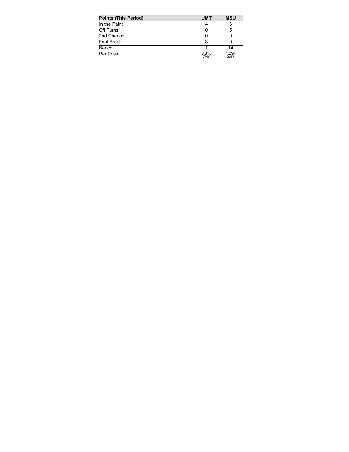| <b>Points (This Period)</b> | <b>UMT</b>    | <b>MSU</b>    |
|-----------------------------|---------------|---------------|
| In the Paint                |               |               |
| Off Turns                   |               |               |
| 2nd Chance                  |               |               |
| <b>Fast Break</b>           |               |               |
| Bench                       |               | 14            |
| Per Poss                    | 0.813<br>7/16 | 1.294<br>9/17 |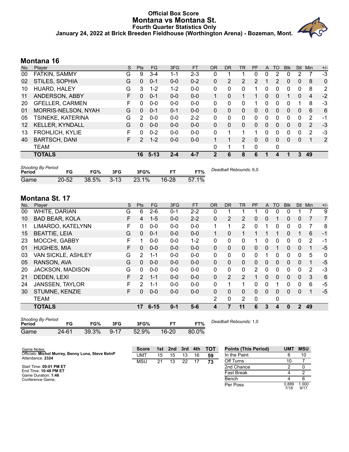#### **Official Box Score Montana vs Montana St. Fourth Quarter Statistics Only January 24, 2022 at Brick Breeden Fieldhouse (Worthington Arena) - Bozeman, Mont.**



# **Montana 16**

| No. | Player                 | S  | Pts | FG       | 3FG     | <b>FT</b> | <b>OR</b>   | <b>DR</b> | <b>TR</b>      | PF | A        | TO          | <b>Blk</b> | Stl      | Min            | $+/-$ |
|-----|------------------------|----|-----|----------|---------|-----------|-------------|-----------|----------------|----|----------|-------------|------------|----------|----------------|-------|
| 00  | FATKIN, SAMMY          | G  | 9   | $3 - 4$  | 1-1     | $2 - 3$   | 0           |           |                | 0  | 0        | 2           | 0          | 2        |                | -3    |
| 02  | STILES, SOPHIA         | G  | 0   | $0 - 1$  | $0 - 0$ | $0 - 2$   | $\Omega$    | 2         | 2              | 2  |          | 2           | 0          | 0        | 8              | 0     |
| 10  | HUARD, HALEY           | G  | 3   | $1 - 2$  | $1 - 2$ | $0 - 0$   | 0           | 0         | 0              | 1  | 0        | 0           | 0          | 0        | 8              | 2     |
| 11  | ANDERSON, ABBY         | F  | 0   | $0 - 1$  | $0 - 0$ | $0 - 0$   |             | 0         | 1              |    | 0        | $\Omega$    |            | $\Omega$ | $\overline{4}$ | $-2$  |
| 20  | <b>GFELLER, CARMEN</b> | F  | 0   | $0 - 0$  | $0 - 0$ | $0 - 0$   | 0           | 0         | 0              |    | 0        | 0           | 0          |          | 8              | $-3$  |
| 01  | MORRIS-NELSON, NYAH    | G  | 0   | $0 - 1$  | $0 - 1$ | $0 - 0$   | $\Omega$    | $\Omega$  | 0              | 0  | 0        | $\Omega$    | 0          | 0        | 6              | 6     |
| 05  | TSINEKE, KATERINA      | G  | 2   | $0 - 0$  | $0 - 0$ | $2 - 2$   | 0           | 0         | $\mathbf{0}$   | 0  | 0        | $\Omega$    | 0          | 0        | 2              | $-1$  |
| 12  | <b>KELLER, KYNDALL</b> | G  | 0   | $0 - 0$  | $0 - 0$ | $0 - 0$   | $\Omega$    | $\Omega$  | $\Omega$       | 0  | $\Omega$ | $\Omega$    | 0          | $\Omega$ | 2              | $-3$  |
| 13  | <b>FROHLICH, KYLIE</b> | F  | 0   | $0 - 2$  | $0 - 0$ | $0 - 0$   | 0           |           | 1              |    | 0        | $\Omega$    | 0          | 0        | 2              | -3    |
| 40  | <b>BARTSCH, DANI</b>   | F. | 2   | $1 - 2$  | $0 - 0$ | $0 - 0$   | 1           |           | $\overline{2}$ | 0  | $\Omega$ | 0           | 0          | $\Omega$ |                | 2     |
|     | <b>TEAM</b>            |    |     |          |         |           | 0           | 1         | ◢              | 0  |          | $\mathbf 0$ |            |          |                |       |
|     | <b>TOTALS</b>          |    | 16  | $5 - 13$ | $2 - 4$ | $4 - 7$   | $\mathbf 2$ | 6         | 8              | 6  |          | 4           | 1          | 3        | 49             |       |
|     |                        |    |     |          |         |           |             |           |                |    |          |             |            |          |                |       |

| <b>Shooting By Period</b><br>Period | FG        | FG%      | 3FG         | 3FG%  | ET        | FT%   | Deadball Rebounds: 6,0 |
|-------------------------------------|-----------|----------|-------------|-------|-----------|-------|------------------------|
| Game                                | $20 - 52$ | $38.5\%$ | $\sim$ 3-13 | 23.1% | $16 - 28$ | 57.1% |                        |

## **Montana St. 17**

| WHITE, DARIAN<br><b>BAD BEAR, KOLA</b> | G  | 6                |         |          |         |             |               | <b>TR</b>      |                | $\mathsf{A}$ | TO       | <b>B</b> lk  | Stl            | Min            | $+/-$ |
|----------------------------------------|----|------------------|---------|----------|---------|-------------|---------------|----------------|----------------|--------------|----------|--------------|----------------|----------------|-------|
|                                        |    |                  | $2-6$   | $0 - 1$  | $2 - 2$ | 0           | 1             | 1              |                | 0            | $\Omega$ |              |                |                | 9     |
|                                        | F  | 4                | $1 - 5$ | $0 - 0$  | $2 - 2$ | 0           | 2             | $\overline{2}$ | 0              | 0            |          | 0            | 0              | 7              | 7     |
| LIMARDO, KATELYNN                      | F. | 0                | $0 - 0$ | $0 - 0$  | $0 - 0$ | $\mathbf 1$ | 1             | 2              | 0              |              | $\Omega$ | 0            | 0              | 7              | 8     |
| <b>BEATTIE, LEIA</b>                   |    | $\Omega$         | $0 - 1$ | $0 - 0$  | $0 - 0$ |             | $\Omega$      | 1              |                |              |          | 0            |                | 6              | $-1$  |
| MOCCHI, GABBY                          | F  |                  | $0 - 0$ | $0 - 0$  | $1 - 2$ | 0           | $\Omega$      | 0              |                | 0            | $\Omega$ | 0            | 0              | $\overline{2}$ | $-1$  |
| <b>HUGHES, MIA</b>                     | F  | $\Omega$         | $0 - 0$ | $0 - 0$  | $0 - 0$ | $\Omega$    | $\mathbf{0}$  | 0              | 0              | $\mathbf{0}$ |          | 0            | 0              | 1              | $-5$  |
| <b>VAN SICKLE, ASHLEY</b>              |    | 2                | $1 - 1$ | $0 - 0$  | $0-0$   | 0           | $\Omega$      | 0              | 0              |              | 0        | 0            | 0              | 5              | 0     |
| RANSON, AVA                            |    | $\Omega$         | $0 - 0$ | $0 - 0$  | $0 - 0$ | $\Omega$    | $\Omega$      | 0              | 0              | $\Omega$     | $\Omega$ | $\Omega$     | 0              | 1              | $-5$  |
| <b>JACKSON, MADISON</b>                |    | $\Omega$         | $0 - 0$ | $0 - 0$  | $0-0$   | 0           | $\mathbf{0}$  | 0              | $\overline{2}$ | 0            | 0        | 0            | 0              | $\overline{2}$ | -3    |
| DEDEN, LEXI                            | F. | $\mathcal{P}$    | $1 - 1$ | $0 - 0$  | $0 - 0$ | $\Omega$    | $\mathcal{P}$ | 2              | 1              | $\Omega$     | $\Omega$ | $\Omega$     | 0              | 3              | 6     |
| <b>JANSSEN, TAYLOR</b>                 | F. | 2                | $1 - 1$ | $0 - 0$  | $0-0$   | 0           | 1             | 1              | 0              | $\mathbf{0}$ |          | 0            | 0              | 6              | $-5$  |
| STUMNE, KENZIE                         | F. | $\Omega$         | $0 - 0$ | $0 - 0$  | $0-0$   | $\Omega$    | $\Omega$      | $\Omega$       | 0              | $\Omega$     | $\Omega$ | $\Omega$     | 0              | 1              | $-5$  |
|                                        |    |                  |         |          |         | 2           | $\mathbf{0}$  | $\overline{2}$ | 0              |              | 0        |              |                |                |       |
| <b>TOTALS</b>                          |    | 17               |         | $0 - 1$  | $5-6$   | 4           | 7             | 11             | 6              | 3            | 4        | $\mathbf{0}$ | $\overline{2}$ | 49             |       |
|                                        |    | G<br>G<br>G<br>G |         | $6 - 15$ |         |             |               |                |                |              |          |              |                |                |       |

| <b>Shooting By Period</b><br>Period | FG    | FG%      | 3FG    | 3FG%     |           | FT%   | Deadball Rebounds: 1,0 |
|-------------------------------------|-------|----------|--------|----------|-----------|-------|------------------------|
| Game                                | 24-61 | $39.3\%$ | $9-17$ | $52.9\%$ | $16 - 20$ | 80.0% |                        |

| Game Notes:                                       | <b>Score</b> |    | 1st 2nd | 3rd | 4th | тот | <b>Points (This Period)</b> | UMT           | <b>MSU</b>    |
|---------------------------------------------------|--------------|----|---------|-----|-----|-----|-----------------------------|---------------|---------------|
| Officials: Michol Murrey, Benny Luna, Steve BelnP | <b>UMT</b>   | 15 | 15      | 13  | 16  | 59  | In the Paint                |               | 10            |
| Attendance: 2324                                  | MSU          | 21 | 13      | 22  |     | 73  | Off Turns                   | 10            |               |
| Start Time: 09:01 PM ET                           |              |    |         |     |     |     | 2nd Chance                  |               |               |
| End Time: 10:48 PM ET<br>Game Duration: 1:46      |              |    |         |     |     |     | <b>Fast Break</b>           |               |               |
| Conference Game:                                  |              |    |         |     |     |     | Bench                       |               |               |
|                                                   |              |    |         |     |     |     | Per Poss                    | 0.889<br>7/18 | 1.000<br>9/17 |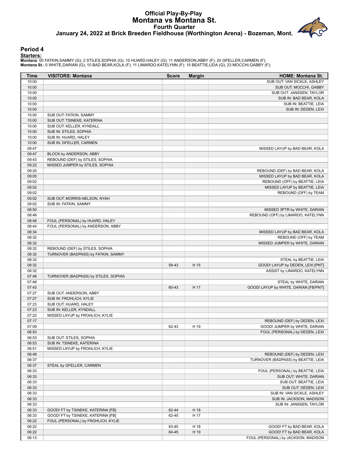## **Official Play-By-Play Montana vs Montana St. Fourth Quarter January 24, 2022 at Brick Breeden Fieldhouse (Worthington Arena) - Bozeman, Mont.**



#### **Period 4**

**Starters:**

Montana: 00 FATKIN,SAMMY (G); 2 STILES,SOPHIA (G); 10 HUARD,HALEY (G); 11 ANDERSON,ABBY (F); 20 GFELLER,CARMEN (F);<br>Montana **S**t.: 0 WHITE,DARIAN (G); 10 BAD BEAR,KOLA (F); 11 LIMARDO,KATELYNN (F); 15 BEATTIE,LEIA (G); 23

| <b>Time</b> | <b>VISITORS: Montana</b>             | <b>Score</b> | <b>Margin</b> | <b>HOME: Montana St.</b>              |
|-------------|--------------------------------------|--------------|---------------|---------------------------------------|
| 10:00       |                                      |              |               | SUB OUT: VAN SICKLE, ASHLEY           |
| 10:00       |                                      |              |               | SUB OUT: MOCCHI, GABBY                |
| 10:00       |                                      |              |               | SUB OUT: JANSSEN, TAYLOR              |
| 10:00       |                                      |              |               | SUB IN: BAD BEAR, KOLA                |
| 10:00       |                                      |              |               | SUB IN: BEATTIE, LEIA                 |
| 10:00       |                                      |              |               | SUB IN: DEDEN, LEXI                   |
| 10:00       | SUB OUT: FATKIN, SAMMY               |              |               |                                       |
| 10:00       | SUB OUT: TSINEKE, KATERINA           |              |               |                                       |
| 10:00       | SUB OUT: KELLER, KYNDALL             |              |               |                                       |
| 10:00       | SUB IN: STILES, SOPHIA               |              |               |                                       |
| 10:00       | SUB IN: HUARD, HALEY                 |              |               |                                       |
| 10:00       |                                      |              |               |                                       |
| 09:47       | SUB IN: GFELLER, CARMEN              |              |               | MISSED LAYUP by BAD BEAR, KOLA        |
| 09:47       |                                      |              |               |                                       |
|             | BLOCK by ANDERSON, ABBY              |              |               |                                       |
| 09:43       | REBOUND (DEF) by STILES, SOPHIA      |              |               |                                       |
| 09:22       | MISSED JUMPER by STILES, SOPHIA      |              |               |                                       |
| 09:20       |                                      |              |               | REBOUND (DEF) by BAD BEAR, KOLA       |
| 09:05       |                                      |              |               | MISSED LAYUP by BAD BEAR, KOLA        |
| 09:02       |                                      |              |               | REBOUND (OFF) by BEATTIE, LEIA        |
| 09:02       |                                      |              |               | MISSED LAYUP by BEATTIE, LEIA         |
| 09:02       |                                      |              |               | REBOUND (OFF) by TEAM                 |
| 09:02       | SUB OUT: MORRIS-NELSON, NYAH         |              |               |                                       |
| 09:02       | SUB IN: FATKIN, SAMMY                |              |               |                                       |
| 08:50       |                                      |              |               | MISSED 3PTR by WHITE, DARIAN          |
| 08:48       |                                      |              |               | REBOUND (OFF) by LIMARDO, KATELYNN    |
| 08:48       | FOUL (PERSONAL) by HUARD, HALEY      |              |               |                                       |
| 08:44       | FOUL (PERSONAL) by ANDERSON, ABBY    |              |               |                                       |
| 08:34       |                                      |              |               | MISSED LAYUP by BAD BEAR, KOLA        |
| 08:32       |                                      |              |               | REBOUND (OFF) by TEAM                 |
| 08:32       |                                      |              |               | MISSED JUMPER by WHITE, DARIAN        |
| 08:32       | REBOUND (DEF) by STILES, SOPHIA      |              |               |                                       |
| 08:32       | TURNOVER (BADPASS) by FATKIN, SAMMY  |              |               |                                       |
| 08:32       |                                      |              |               | STEAL by BEATTIE, LEIA                |
| 08:32       |                                      | 58-43        | H 15          | GOOD! LAYUP by DEDEN, LEXI [PNT]      |
| 08:32       |                                      |              |               | ASSIST by LIMARDO, KATELYNN           |
| 07:48       | TURNOVER (BADPASS) by STILES, SOPHIA |              |               |                                       |
| 07:48       |                                      |              |               | STEAL by WHITE, DARIAN                |
| 07:43       |                                      | 60-43        | H 17          | GOOD! LAYUP by WHITE, DARIAN [FB/PNT] |
| 07:27       | SUB OUT: ANDERSON, ABBY              |              |               |                                       |
| 07:27       | SUB IN: FROHLICH, KYLIE              |              |               |                                       |
| 07:23       | SUB OUT: HUARD, HALEY                |              |               |                                       |
| 07:23       | SUB IN: KELLER, KYNDALL              |              |               |                                       |
| 07:22       | MISSED LAYUP by FROHLICH, KYLIE      |              |               |                                       |
| 07:17       |                                      |              |               | REBOUND (DEF) by DEDEN, LEXI          |
| 07:09       |                                      | 62-43        | H 19          | GOOD! JUMPER by WHITE, DARIAN         |
| 06:53       |                                      |              |               | FOUL (PERSONAL) by DEDEN, LEXI        |
| 06:53       | SUB OUT: STILES, SOPHIA              |              |               |                                       |
| 06:53       | SUB IN: TSINEKE, KATERINA            |              |               |                                       |
|             | MISSED LAYUP by FROHLICH, KYLIE      |              |               |                                       |
| 06:51       |                                      |              |               |                                       |
| 06:48       |                                      |              |               | REBOUND (DEF) by DEDEN, LEXI          |
| 06:37       |                                      |              |               | TURNOVER (BADPASS) by BEATTIE, LEIA   |
| 06:37       | STEAL by GFELLER, CARMEN             |              |               |                                       |
| 06:33       |                                      |              |               | FOUL (PERSONAL) by BEATTIE, LEIA      |
| 06:33       |                                      |              |               | SUB OUT: WHITE, DARIAN                |
| 06:33       |                                      |              |               | SUB OUT: BEATTIE, LEIA                |
| 06:33       |                                      |              |               | SUB OUT: DEDEN, LEXI                  |
| 06:33       |                                      |              |               | SUB IN: VAN SICKLE, ASHLEY            |
| 06:33       |                                      |              |               | SUB IN: JACKSON, MADISON              |
| 06:33       |                                      |              |               | SUB IN: JANSSEN, TAYLOR               |
| 06:33       | GOOD! FT by TSINEKE, KATERINA [FB]   | 62-44        | H 18          |                                       |
| 06:33       | GOOD! FT by TSINEKE, KATERINA [FB]   | 62-45        | H 17          |                                       |
| 06:22       | FOUL (PERSONAL) by FROHLICH, KYLIE   |              |               |                                       |
| 06:22       |                                      | 63-45        | H 18          | GOOD! FT by BAD BEAR, KOLA            |
| 06:22       |                                      | 64-45        | H 19          | GOOD! FT by BAD BEAR, KOLA            |
| 06:13       |                                      |              |               | FOUL (PERSONAL) by JACKSON, MADISON   |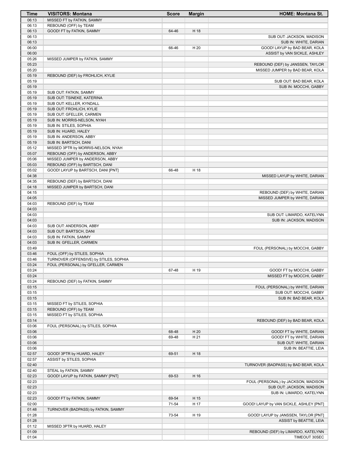| Time           | <b>VISITORS: Montana</b>                                     | <b>Score</b> | <b>Margin</b> | <b>HOME: Montana St.</b>                                         |
|----------------|--------------------------------------------------------------|--------------|---------------|------------------------------------------------------------------|
| 06:13          | MISSED FT by FATKIN, SAMMY                                   |              |               |                                                                  |
| 06:13          | REBOUND (OFF) by TEAM                                        |              |               |                                                                  |
| 06:13          | GOOD! FT by FATKIN, SAMMY                                    | 64-46        | H 18          |                                                                  |
| 06:13          |                                                              |              |               | SUB OUT: JACKSON, MADISON                                        |
| 06:13          |                                                              |              |               | SUB IN: WHITE, DARIAN                                            |
| 06:00          |                                                              | 66-46        | H 20          | GOOD! LAYUP by BAD BEAR, KOLA                                    |
| 06:00          |                                                              |              |               | ASSIST by VAN SICKLE, ASHLEY                                     |
| 05:26          | MISSED JUMPER by FATKIN, SAMMY                               |              |               |                                                                  |
| 05:23          |                                                              |              |               | REBOUND (DEF) by JANSSEN, TAYLOR                                 |
| 05:20          |                                                              |              |               | MISSED JUMPER by BAD BEAR, KOLA                                  |
| 05:19          | REBOUND (DEF) by FROHLICH, KYLIE                             |              |               |                                                                  |
| 05:19          |                                                              |              |               | SUB OUT: BAD BEAR, KOLA                                          |
| 05:19          |                                                              |              |               | SUB IN: MOCCHI, GABBY                                            |
| 05:19          | SUB OUT: FATKIN, SAMMY                                       |              |               |                                                                  |
| 05:19          | SUB OUT: TSINEKE, KATERINA                                   |              |               |                                                                  |
| 05:19          | SUB OUT: KELLER, KYNDALL                                     |              |               |                                                                  |
| 05:19          | SUB OUT: FROHLICH, KYLIE                                     |              |               |                                                                  |
| 05:19<br>05:19 | SUB OUT: GFELLER, CARMEN<br>SUB IN: MORRIS-NELSON, NYAH      |              |               |                                                                  |
| 05:19          | SUB IN: STILES, SOPHIA                                       |              |               |                                                                  |
| 05:19          | SUB IN: HUARD, HALEY                                         |              |               |                                                                  |
| 05:19          | SUB IN: ANDERSON, ABBY                                       |              |               |                                                                  |
| 05:19          | SUB IN: BARTSCH, DANI                                        |              |               |                                                                  |
| 05:12          | MISSED 3PTR by MORRIS-NELSON, NYAH                           |              |               |                                                                  |
| 05:07          | REBOUND (OFF) by ANDERSON, ABBY                              |              |               |                                                                  |
| 05:06          | MISSED JUMPER by ANDERSON, ABBY                              |              |               |                                                                  |
| 05:03          | REBOUND (OFF) by BARTSCH, DANI                               |              |               |                                                                  |
| 05:02          | GOOD! LAYUP by BARTSCH, DANI [PNT]                           | 66-48        | H 18          |                                                                  |
| 04:38          |                                                              |              |               | MISSED LAYUP by WHITE, DARIAN                                    |
| 04:35          | REBOUND (DEF) by BARTSCH, DANI                               |              |               |                                                                  |
| 04:18          | MISSED JUMPER by BARTSCH, DANI                               |              |               |                                                                  |
| 04:15          |                                                              |              |               | REBOUND (DEF) by WHITE, DARIAN                                   |
| 04:05          |                                                              |              |               | MISSED JUMPER by WHITE, DARIAN                                   |
| 04:03          | REBOUND (DEF) by TEAM                                        |              |               |                                                                  |
| 04:03          |                                                              |              |               |                                                                  |
| 04:03          |                                                              |              |               | SUB OUT: LIMARDO, KATELYNN                                       |
| 04:03          |                                                              |              |               | SUB IN: JACKSON, MADISON                                         |
| 04:03          | SUB OUT: ANDERSON, ABBY                                      |              |               |                                                                  |
| 04:03          | SUB OUT: BARTSCH, DANI                                       |              |               |                                                                  |
| 04:03          | SUB IN: FATKIN, SAMMY                                        |              |               |                                                                  |
| 04:03          | SUB IN: GFELLER, CARMEN                                      |              |               |                                                                  |
| 03:49          |                                                              |              |               | FOUL (PERSONAL) by MOCCHI, GABBY                                 |
| 03:46          | FOUL (OFF) by STILES, SOPHIA                                 |              |               |                                                                  |
| 03:46          | TURNOVER (OFFENSIVE) by STILES, SOPHIA                       |              |               |                                                                  |
| 03:24          | FOUL (PERSONAL) by GFELLER, CARMEN                           |              |               |                                                                  |
| 03:24          |                                                              | 67-48        | H 19          | GOOD! FT by MOCCHI, GABBY                                        |
| 03:24          |                                                              |              |               | MISSED FT by MOCCHI, GABBY                                       |
| 03:24          | REBOUND (DEF) by FATKIN, SAMMY                               |              |               |                                                                  |
| 03:15          |                                                              |              |               | FOUL (PERSONAL) by WHITE, DARIAN                                 |
| 03:15          |                                                              |              |               | SUB OUT: MOCCHI, GABBY                                           |
| 03:15          |                                                              |              |               | SUB IN: BAD BEAR, KOLA                                           |
| 03:15          | MISSED FT by STILES, SOPHIA                                  |              |               |                                                                  |
| 03:15          | REBOUND (OFF) by TEAM                                        |              |               |                                                                  |
| 03:15          | MISSED FT by STILES, SOPHIA                                  |              |               |                                                                  |
| 03:14          |                                                              |              |               | REBOUND (DEF) by BAD BEAR, KOLA                                  |
| 03:06          | FOUL (PERSONAL) by STILES, SOPHIA                            |              |               |                                                                  |
| 03:06          |                                                              | 68-48        | H 20          | GOOD! FT by WHITE, DARIAN                                        |
| 03:06          |                                                              | 69-48        | H 21          | GOOD! FT by WHITE, DARIAN                                        |
| 03:06          |                                                              |              |               | SUB OUT: WHITE, DARIAN                                           |
| 03:06          |                                                              |              |               | SUB IN: BEATTIE, LEIA                                            |
| 02:57          | GOOD! 3PTR by HUARD, HALEY                                   | 69-51        | H 18          |                                                                  |
| 02:57          | ASSIST by STILES, SOPHIA                                     |              |               |                                                                  |
| 02:40          |                                                              |              |               | TURNOVER (BADPASS) by BAD BEAR, KOLA                             |
| 02:40<br>02:23 | STEAL by FATKIN, SAMMY<br>GOOD! LAYUP by FATKIN, SAMMY [PNT] | 69-53        | H 16          |                                                                  |
| 02:23          |                                                              |              |               |                                                                  |
| 02:23          |                                                              |              |               | FOUL (PERSONAL) by JACKSON, MADISON<br>SUB OUT: JACKSON, MADISON |
| 02:23          |                                                              |              |               | SUB IN: LIMARDO, KATELYNN                                        |
| 02:23          | GOOD! FT by FATKIN, SAMMY                                    | 69-54        | H 15          |                                                                  |
| 02:00          |                                                              | 71-54        | H 17          | GOOD! LAYUP by VAN SICKLE, ASHLEY [PNT]                          |
| 01:48          | TURNOVER (BADPASS) by FATKIN, SAMMY                          |              |               |                                                                  |
| 01:28          |                                                              | 73-54        | H 19          | GOOD! LAYUP by JANSSEN, TAYLOR [PNT]                             |
| 01:28          |                                                              |              |               | ASSIST by BEATTIE, LEIA                                          |
| 01:12          | MISSED 3PTR by HUARD, HALEY                                  |              |               |                                                                  |
| 01:09          |                                                              |              |               | REBOUND (DEF) by LIMARDO, KATELYNN                               |
| 01:04          |                                                              |              |               | TIMEOUT 30SEC                                                    |
|                |                                                              |              |               |                                                                  |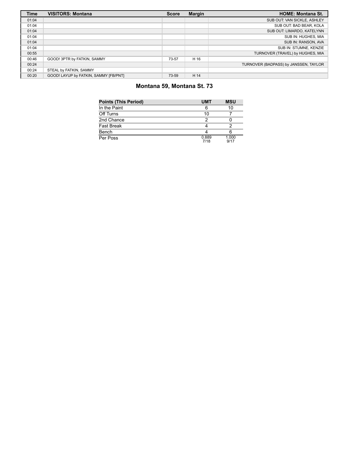| <b>Time</b> | <b>VISITORS: Montana</b>              | <b>Score</b> | <b>Margin</b> | <b>HOME: Montana St.</b>              |
|-------------|---------------------------------------|--------------|---------------|---------------------------------------|
| 01:04       |                                       |              |               | SUB OUT: VAN SICKLE, ASHLEY           |
| 01:04       |                                       |              |               | SUB OUT: BAD BEAR, KOLA               |
| 01:04       |                                       |              |               | SUB OUT: LIMARDO, KATELYNN            |
| 01:04       |                                       |              |               | SUB IN: HUGHES, MIA                   |
| 01:04       |                                       |              |               | SUB IN: RANSON, AVA                   |
| 01:04       |                                       |              |               | SUB IN: STUMNE, KENZIE                |
| 00:55       |                                       |              |               | TURNOVER (TRAVEL) by HUGHES, MIA      |
| 00:46       | GOOD! 3PTR by FATKIN, SAMMY           | 73-57        | H 16          |                                       |
| 00:24       |                                       |              |               | TURNOVER (BADPASS) by JANSSEN, TAYLOR |
| 00:24       | STEAL by FATKIN, SAMMY                |              |               |                                       |
| 00:20       | GOOD! LAYUP by FATKIN, SAMMY [FB/PNT] | 73-59        | H 14          |                                       |

# **Montana 59, Montana St. 73**

| <b>Points (This Period)</b> | <b>UMT</b>    | <b>MSU</b>    |
|-----------------------------|---------------|---------------|
| In the Paint                |               | 10            |
| Off Turns                   | 10            |               |
| 2nd Chance                  |               |               |
| <b>Fast Break</b>           |               |               |
| Bench                       |               |               |
| Per Poss                    | 0.889<br>7/18 | 1.000<br>9/17 |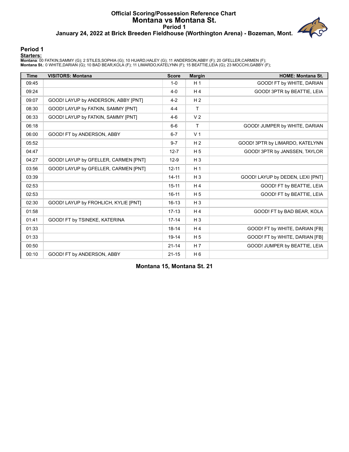## **Official Scoring/Possession Reference Chart Montana vs Montana St. Period 1 January 24, 2022 at Brick Breeden Fieldhouse (Worthington Arena) - Bozeman, Mont.**



#### **Period 1**

**Starters:**

Montana: 00 FATKIN,SAMMY (G); 2 STILES,SOPHIA (G); 10 HUARD,HALEY (G); 11 ANDERSON,ABBY (F); 20 GFELLER,CARMEN (F);<br>Montana **S**t.: 0 WHITE,DARIAN (G); 10 BAD BEAR,KOLA (F); 11 LIMARDO,KATELYNN (F); 15 BEATTIE,LEIA (G); 23

| <b>Time</b> | <b>VISITORS: Montana</b>             | <b>Score</b> | <b>Margin</b>  | <b>HOME: Montana St.</b>         |
|-------------|--------------------------------------|--------------|----------------|----------------------------------|
| 09:45       |                                      | $1 - 0$      | H <sub>1</sub> | GOOD! FT by WHITE, DARIAN        |
| 09:24       |                                      | $4 - 0$      | H <sub>4</sub> | GOOD! 3PTR by BEATTIE, LEIA      |
| 09:07       | GOOD! LAYUP by ANDERSON, ABBY [PNT]  | $4-2$        | H <sub>2</sub> |                                  |
| 08:30       | GOOD! LAYUP by FATKIN, SAMMY [PNT]   | $4 - 4$      | T              |                                  |
| 06:33       | GOOD! LAYUP by FATKIN, SAMMY [PNT]   | $4-6$        | V <sub>2</sub> |                                  |
| 06:18       |                                      | $6-6$        | T              | GOOD! JUMPER by WHITE, DARIAN    |
| 06:00       | GOOD! FT by ANDERSON, ABBY           | $6 - 7$      | V <sub>1</sub> |                                  |
| 05:52       |                                      | $9 - 7$      | H <sub>2</sub> | GOOD! 3PTR by LIMARDO, KATELYNN  |
| 04:47       |                                      | $12 - 7$     | H <sub>5</sub> | GOOD! 3PTR by JANSSEN, TAYLOR    |
| 04:27       | GOOD! LAYUP by GFELLER, CARMEN [PNT] | $12-9$       | $H_3$          |                                  |
| 03:56       | GOOD! LAYUP by GFELLER, CARMEN [PNT] | $12 - 11$    | H <sub>1</sub> |                                  |
| 03:39       |                                      | $14 - 11$    | $H_3$          | GOOD! LAYUP by DEDEN, LEXI [PNT] |
| 02:53       |                                      | $15 - 11$    | H <sub>4</sub> | GOOD! FT by BEATTIE, LEIA        |
| 02:53       |                                      | $16 - 11$    | H <sub>5</sub> | GOOD! FT by BEATTIE, LEIA        |
| 02:30       | GOOD! LAYUP by FROHLICH, KYLIE [PNT] | $16 - 13$    | $H_3$          |                                  |
| 01:58       |                                      | $17-13$      | H <sub>4</sub> | GOOD! FT by BAD BEAR, KOLA       |
| 01:41       | GOOD! FT by TSINEKE, KATERINA        | $17 - 14$    | $H_3$          |                                  |
| 01:33       |                                      | $18 - 14$    | H <sub>4</sub> | GOOD! FT by WHITE, DARIAN [FB]   |
| 01:33       |                                      | $19 - 14$    | H <sub>5</sub> | GOOD! FT by WHITE, DARIAN [FB]   |
| 00:50       |                                      | $21 - 14$    | H <sub>7</sub> | GOOD! JUMPER by BEATTIE, LEIA    |
| 00:10       | GOOD! FT by ANDERSON, ABBY           | $21 - 15$    | $H_6$          |                                  |

**Montana 15, Montana St. 21**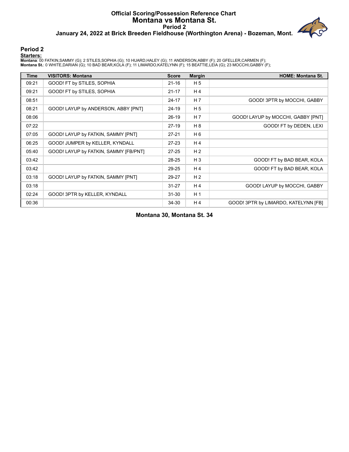## **Official Scoring/Possession Reference Chart Montana vs Montana St. Period 2 January 24, 2022 at Brick Breeden Fieldhouse (Worthington Arena) - Bozeman, Mont.**



#### **Period 2**

**Starters:**

Montana: 00 FATKIN,SAMMY (G); 2 STILES,SOPHIA (G); 10 HUARD,HALEY (G); 11 ANDERSON,ABBY (F); 20 GFELLER,CARMEN (F);<br>Montana **S**t.: 0 WHITE,DARIAN (G); 10 BAD BEAR,KOLA (F); 11 LIMARDO,KATELYNN (F); 15 BEATTIE,LEIA (G); 23

| <b>Time</b> | <b>VISITORS: Montana</b>              | <b>Score</b> | <b>Margin</b>  | <b>HOME: Montana St.</b>             |
|-------------|---------------------------------------|--------------|----------------|--------------------------------------|
| 09:21       | GOOD! FT by STILES, SOPHIA            | $21 - 16$    | H <sub>5</sub> |                                      |
| 09:21       | GOOD! FT by STILES, SOPHIA            | $21 - 17$    | H 4            |                                      |
| 08:51       |                                       | $24 - 17$    | H 7            | GOOD! 3PTR by MOCCHI, GABBY          |
| 08:21       | GOOD! LAYUP by ANDERSON, ABBY [PNT]   | 24-19        | H <sub>5</sub> |                                      |
| 08:06       |                                       | $26-19$      | H 7            | GOOD! LAYUP by MOCCHI, GABBY [PNT]   |
| 07:22       |                                       | $27-19$      | H 8            | GOOD! FT by DEDEN, LEXI              |
| 07:05       | GOOD! LAYUP by FATKIN, SAMMY [PNT]    | $27 - 21$    | H <sub>6</sub> |                                      |
| 06:25       | GOOD! JUMPER by KELLER, KYNDALL       | $27-23$      | H 4            |                                      |
| 05:40       | GOOD! LAYUP by FATKIN, SAMMY [FB/PNT] | $27 - 25$    | H <sub>2</sub> |                                      |
| 03:42       |                                       | 28-25        | $H_3$          | GOOD! FT by BAD BEAR, KOLA           |
| 03:42       |                                       | 29-25        | H 4            | GOOD! FT by BAD BEAR, KOLA           |
| 03:18       | GOOD! LAYUP by FATKIN, SAMMY [PNT]    | 29-27        | H <sub>2</sub> |                                      |
| 03:18       |                                       | $31 - 27$    | H 4            | GOOD! LAYUP by MOCCHI, GABBY         |
| 02:24       | GOOD! 3PTR by KELLER, KYNDALL         | $31 - 30$    | H <sub>1</sub> |                                      |
| 00:36       |                                       | 34-30        | H 4            | GOOD! 3PTR by LIMARDO, KATELYNN [FB] |

**Montana 30, Montana St. 34**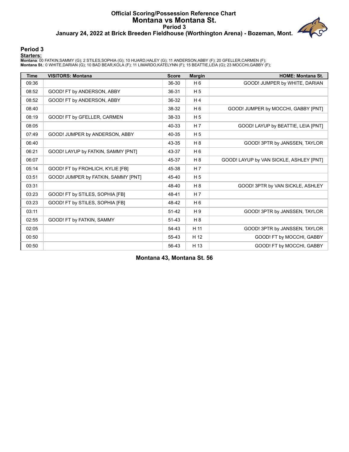## **Official Scoring/Possession Reference Chart Montana vs Montana St. Period 3 January 24, 2022 at Brick Breeden Fieldhouse (Worthington Arena) - Bozeman, Mont.**



#### **Period 3**

**Starters:**

Montana: 00 FATKIN,SAMMY (G); 2 STILES,SOPHIA (G); 10 HUARD,HALEY (G); 11 ANDERSON,ABBY (F); 20 GFELLER,CARMEN (F);<br>Montana **S**t.: 0 WHITE,DARIAN (G); 10 BAD BEAR,KOLA (F); 11 LIMARDO,KATELYNN (F); 15 BEATTIE,LEIA (G); 23

| <b>Time</b> | <b>VISITORS: Montana</b>            | <b>Score</b> | <b>Margin</b>  | <b>HOME: Montana St.</b>                |
|-------------|-------------------------------------|--------------|----------------|-----------------------------------------|
| 09:36       |                                     | 36-30        | $H_6$          | GOOD! JUMPER by WHITE, DARIAN           |
| 08:52       | GOOD! FT by ANDERSON, ABBY          | 36-31        | H <sub>5</sub> |                                         |
| 08:52       | GOOD! FT by ANDERSON, ABBY          | 36-32        | H4             |                                         |
| 08:40       |                                     | 38-32        | H <sub>6</sub> | GOOD! JUMPER by MOCCHI, GABBY [PNT]     |
| 08:19       | GOOD! FT by GFELLER, CARMEN         | 38-33        | H <sub>5</sub> |                                         |
| 08:05       |                                     | 40-33        | H <sub>7</sub> | GOOD! LAYUP by BEATTIE, LEIA [PNT]      |
| 07:49       | GOOD! JUMPER by ANDERSON, ABBY      | 40-35        | H <sub>5</sub> |                                         |
| 06:40       |                                     | 43-35        | H 8            | GOOD! 3PTR by JANSSEN, TAYLOR           |
| 06:21       | GOOD! LAYUP by FATKIN, SAMMY [PNT]  | 43-37        | H <sub>6</sub> |                                         |
| 06:07       |                                     | 45-37        | H 8            | GOOD! LAYUP by VAN SICKLE, ASHLEY [PNT] |
| 05:14       | GOOD! FT by FROHLICH, KYLIE [FB]    | 45-38        | H <sub>7</sub> |                                         |
| 03:51       | GOOD! JUMPER by FATKIN, SAMMY [PNT] | 45-40        | H <sub>5</sub> |                                         |
| 03:31       |                                     | 48-40        | H 8            | GOOD! 3PTR by VAN SICKLE, ASHLEY        |
| 03:23       | GOOD! FT by STILES, SOPHIA [FB]     | 48-41        | H <sub>7</sub> |                                         |
| 03:23       | GOOD! FT by STILES, SOPHIA [FB]     | 48-42        | H <sub>6</sub> |                                         |
| 03:11       |                                     | $51 - 42$    | H <sub>9</sub> | GOOD! 3PTR by JANSSEN, TAYLOR           |
| 02:55       | GOOD! FT by FATKIN, SAMMY           | $51 - 43$    | H 8            |                                         |
| 02:05       |                                     | 54-43        | H 11           | GOOD! 3PTR by JANSSEN, TAYLOR           |
| 00:50       |                                     | 55-43        | H 12           | GOOD! FT by MOCCHI, GABBY               |
| 00:50       |                                     | 56-43        | H 13           | GOOD! FT by MOCCHI, GABBY               |

**Montana 43, Montana St. 56**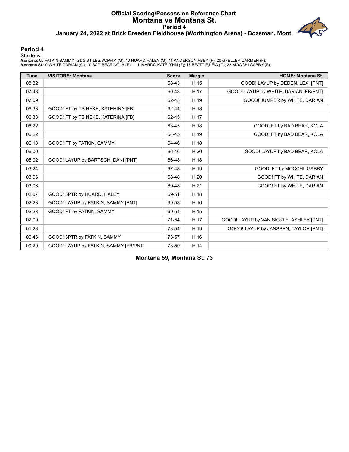## **Official Scoring/Possession Reference Chart Montana vs Montana St. Period 4 January 24, 2022 at Brick Breeden Fieldhouse (Worthington Arena) - Bozeman, Mont.**



#### **Period 4**

**Starters:**

Montana: 00 FATKIN,SAMMY (G); 2 STILES,SOPHIA (G); 10 HUARD,HALEY (G); 11 ANDERSON,ABBY (F); 20 GFELLER,CARMEN (F);<br>Montana **S**t.: 0 WHITE,DARIAN (G); 10 BAD BEAR,KOLA (F); 11 LIMARDO,KATELYNN (F); 15 BEATTIE,LEIA (G); 23

| <b>Time</b> | <b>VISITORS: Montana</b>              | <b>Score</b> | <b>Margin</b> | <b>HOME: Montana St.</b>                |
|-------------|---------------------------------------|--------------|---------------|-----------------------------------------|
| 08:32       |                                       | 58-43        | H 15          | GOOD! LAYUP by DEDEN, LEXI [PNT]        |
| 07:43       |                                       | 60-43        | H 17          | GOOD! LAYUP by WHITE, DARIAN [FB/PNT]   |
| 07:09       |                                       | 62-43        | H 19          | GOOD! JUMPER by WHITE, DARIAN           |
| 06:33       | GOOD! FT by TSINEKE, KATERINA [FB]    | 62-44        | H 18          |                                         |
| 06:33       | GOOD! FT by TSINEKE, KATERINA [FB]    | 62-45        | H 17          |                                         |
| 06:22       |                                       | 63-45        | H 18          | GOOD! FT by BAD BEAR, KOLA              |
| 06:22       |                                       | 64-45        | H 19          | GOOD! FT by BAD BEAR, KOLA              |
| 06:13       | GOOD! FT by FATKIN, SAMMY             | 64-46        | H 18          |                                         |
| 06:00       |                                       | 66-46        | H 20          | GOOD! LAYUP by BAD BEAR, KOLA           |
| 05:02       | GOOD! LAYUP by BARTSCH, DANI [PNT]    | 66-48        | H 18          |                                         |
| 03:24       |                                       | 67-48        | H 19          | GOOD! FT by MOCCHI, GABBY               |
| 03:06       |                                       | 68-48        | H 20          | GOOD! FT by WHITE, DARIAN               |
| 03:06       |                                       | 69-48        | H 21          | GOOD! FT by WHITE, DARIAN               |
| 02:57       | GOOD! 3PTR by HUARD, HALEY            | 69-51        | H 18          |                                         |
| 02:23       | GOOD! LAYUP by FATKIN, SAMMY [PNT]    | 69-53        | H 16          |                                         |
| 02:23       | GOOD! FT by FATKIN, SAMMY             | 69-54        | H 15          |                                         |
| 02:00       |                                       | $71 - 54$    | H 17          | GOOD! LAYUP by VAN SICKLE, ASHLEY [PNT] |
| 01:28       |                                       | 73-54        | H 19          | GOOD! LAYUP by JANSSEN, TAYLOR [PNT]    |
| 00:46       | GOOD! 3PTR by FATKIN, SAMMY           | 73-57        | H 16          |                                         |
| 00:20       | GOOD! LAYUP by FATKIN, SAMMY [FB/PNT] | 73-59        | H 14          |                                         |

**Montana 59, Montana St. 73**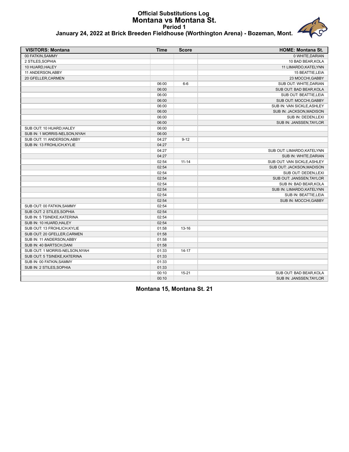#### **Official Substitutions Log Montana vs Montana St. Period 1 January 24, 2022 at Brick Breeden Fieldhouse (Worthington Arena) - Bozeman, Mont.**

| <b>VISITORS: Montana</b>      | <b>Time</b> | <b>Score</b> | <b>HOME: Montana St.</b>    |
|-------------------------------|-------------|--------------|-----------------------------|
| 00 FATKIN, SAMMY              |             |              | 0 WHITE, DARIAN             |
| 2 STILES,SOPHIA               |             |              | 10 BAD BEAR, KOLA           |
| 10 HUARD, HALEY               |             |              | 11 LIMARDO, KATELYNN        |
| 11 ANDERSON, ABBY             |             |              | 15 BEATTIE, LEIA            |
| 20 GFELLER, CARMEN            |             |              | 23 MOCCHI, GABBY            |
|                               | 06:00       | $6-6$        | SUB OUT: WHITE, DARIAN      |
|                               | 06:00       |              | SUB OUT: BAD BEAR, KOLA     |
|                               | 06:00       |              | SUB OUT: BEATTIE, LEIA      |
|                               | 06:00       |              | SUB OUT: MOCCHI, GABBY      |
|                               | 06:00       |              | SUB IN: VAN SICKLE, ASHLEY  |
|                               | 06:00       |              | SUB IN: JACKSON, MADISON    |
|                               | 06:00       |              | SUB IN: DEDEN, LEXI         |
|                               | 06:00       |              | SUB IN: JANSSEN.TAYLOR      |
| SUB OUT: 10 HUARD, HALEY      | 06:00       |              |                             |
| SUB IN: 1 MORRIS-NELSON,NYAH  | 06:00       |              |                             |
| SUB OUT: 11 ANDERSON, ABBY    | 04:27       | $9 - 12$     |                             |
| SUB IN: 13 FROHLICH,KYLIE     | 04:27       |              |                             |
|                               | 04:27       |              | SUB OUT: LIMARDO, KATELYNN  |
|                               | 04:27       |              | SUB IN: WHITE, DARIAN       |
|                               | 02:54       | $11 - 14$    | SUB OUT: VAN SICKLE, ASHLEY |
|                               | 02:54       |              | SUB OUT: JACKSON, MADISON   |
|                               | 02:54       |              | SUB OUT: DEDEN, LEXI        |
|                               | 02:54       |              | SUB OUT: JANSSEN, TAYLOR    |
|                               | 02:54       |              | SUB IN: BAD BEAR, KOLA      |
|                               | 02:54       |              | SUB IN: LIMARDO, KATELYNN   |
|                               | 02:54       |              | SUB IN: BEATTIE, LEIA       |
|                               | 02:54       |              | SUB IN: MOCCHI, GABBY       |
| SUB OUT: 00 FATKIN, SAMMY     | 02:54       |              |                             |
| SUB OUT: 2 STILES, SOPHIA     | 02:54       |              |                             |
| SUB IN: 5 TSINEKE,KATERINA    | 02:54       |              |                             |
| SUB IN: 10 HUARD, HALEY       | 02:54       |              |                             |
| SUB OUT: 13 FROHLICH, KYLIE   | 01:58       | $13 - 16$    |                             |
| SUB OUT: 20 GFELLER, CARMEN   | 01:58       |              |                             |
| SUB IN: 11 ANDERSON, ABBY     | 01:58       |              |                             |
| SUB IN: 40 BARTSCH, DANI      | 01:58       |              |                             |
| SUB OUT: 1 MORRIS-NELSON,NYAH | 01:33       | $14 - 17$    |                             |
| SUB OUT: 5 TSINEKE.KATERINA   | 01:33       |              |                             |
| SUB IN: 00 FATKIN, SAMMY      | 01:33       |              |                             |
| SUB IN: 2 STILES,SOPHIA       | 01:33       |              |                             |
|                               | 00:10       | $15 - 21$    | SUB OUT: BAD BEAR, KOLA     |
|                               | 00:10       |              | SUB IN: JANSSEN, TAYLOR     |

**Montana 15, Montana St. 21**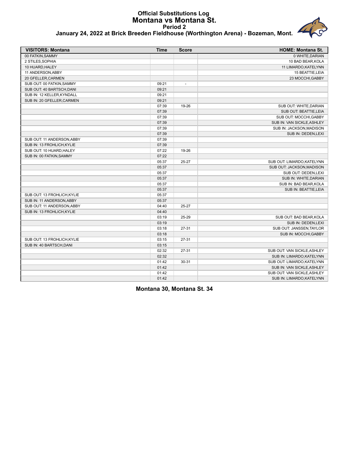#### **Official Substitutions Log Montana vs Montana St. Period 2 January 24, 2022 at Brick Breeden Fieldhouse (Worthington Arena) - Bozeman, Mont.**

| <b>VISITORS: Montana</b>    | <b>Time</b> | <b>Score</b>             | <b>HOME: Montana St.</b>    |
|-----------------------------|-------------|--------------------------|-----------------------------|
| 00 FATKIN.SAMMY             |             |                          | 0 WHITE.DARIAN              |
| 2 STILES, SOPHIA            |             |                          | 10 BAD BEAR, KOLA           |
| 10 HUARD, HALEY             |             |                          | 11 LIMARDO, KATELYNN        |
| 11 ANDERSON, ABBY           |             |                          | 15 BEATTIE, LEIA            |
| 20 GFELLER, CARMEN          |             |                          | 23 MOCCHI, GABBY            |
| SUB OUT: 00 FATKIN, SAMMY   | 09:21       | $\overline{\phantom{a}}$ |                             |
| SUB OUT: 40 BARTSCH, DANI   | 09:21       |                          |                             |
| SUB IN: 12 KELLER, KYNDALL  | 09:21       |                          |                             |
| SUB IN: 20 GFELLER, CARMEN  | 09:21       |                          |                             |
|                             | 07:39       | 19-26                    | SUB OUT: WHITE, DARIAN      |
|                             | 07:39       |                          | SUB OUT: BEATTIE, LEIA      |
|                             | 07:39       |                          | SUB OUT: MOCCHI, GABBY      |
|                             | 07:39       |                          | SUB IN: VAN SICKLE, ASHLEY  |
|                             | 07:39       |                          | SUB IN: JACKSON, MADISON    |
|                             | 07:39       |                          | SUB IN: DEDEN, LEXI         |
| SUB OUT: 11 ANDERSON, ABBY  | 07:39       |                          |                             |
| SUB IN: 13 FROHLICH, KYLIE  | 07:39       |                          |                             |
| SUB OUT: 10 HUARD, HALEY    | 07:22       | 19-26                    |                             |
| SUB IN: 00 FATKIN, SAMMY    | 07:22       |                          |                             |
|                             | 05:37       | 25-27                    | SUB OUT: LIMARDO, KATELYNN  |
|                             | 05:37       |                          | SUB OUT: JACKSON, MADISON   |
|                             | 05:37       |                          | SUB OUT: DEDEN, LEXI        |
|                             | 05:37       |                          | SUB IN: WHITE, DARIAN       |
|                             | 05:37       |                          | SUB IN: BAD BEAR, KOLA      |
|                             | 05:37       |                          | SUB IN: BEATTIE, LEIA       |
| SUB OUT: 13 FROHLICH, KYLIE | 05:37       |                          |                             |
| SUB IN: 11 ANDERSON, ABBY   | 05:37       |                          |                             |
| SUB OUT: 11 ANDERSON, ABBY  | 04:40       | 25-27                    |                             |
| SUB IN: 13 FROHLICH, KYLIE  | 04:40       |                          |                             |
|                             | 03:19       | 25-29                    | SUB OUT: BAD BEAR, KOLA     |
|                             | 03:19       |                          | SUB IN: DEDEN, LEXI         |
|                             | 03:18       | $27 - 31$                | SUB OUT: JANSSEN, TAYLOR    |
|                             | 03:18       |                          | SUB IN: MOCCHI, GABBY       |
| SUB OUT: 13 FROHLICH.KYLIE  | 03:15       | $27 - 31$                |                             |
| SUB IN: 40 BARTSCH, DANI    | 03:15       |                          |                             |
|                             | 02:32       | $27 - 31$                | SUB OUT: VAN SICKLE, ASHLEY |
|                             | 02:32       |                          | SUB IN: LIMARDO, KATELYNN   |
|                             | 01:42       | 30-31                    | SUB OUT: LIMARDO, KATELYNN  |
|                             | 01:42       |                          | SUB IN: VAN SICKLE, ASHLEY  |
|                             | 01:42       |                          | SUB OUT: VAN SICKLE, ASHLEY |
|                             | 01:42       |                          | SUB IN: LIMARDO, KATELYNN   |

**Montana 30, Montana St. 34**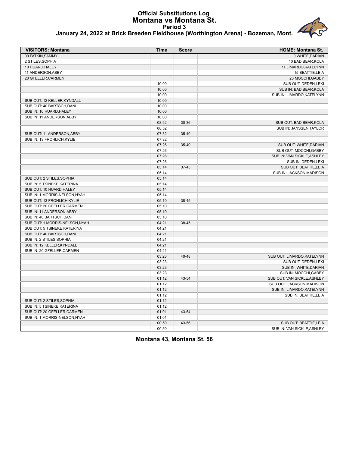#### **Official Substitutions Log Montana vs Montana St. Period 3 January 24, 2022 at Brick Breeden Fieldhouse (Worthington Arena) - Bozeman, Mont.**



|  |  |  |  | January 24, 2022 at Brick Breeden Fieldhouse (Worthington Arena) - Bozeman, Mont. |  |
|--|--|--|--|-----------------------------------------------------------------------------------|--|
|  |  |  |  |                                                                                   |  |

| <b>VISITORS: Montana</b>       | <b>Time</b> | <b>Score</b>   | <b>HOME: Montana St.</b>    |
|--------------------------------|-------------|----------------|-----------------------------|
| 00 FATKIN, SAMMY               |             |                | 0 WHITE, DARIAN             |
| 2 STILES, SOPHIA               |             |                | 10 BAD BEAR, KOLA           |
| 10 HUARD, HALEY                |             |                | 11 LIMARDO, KATELYNN        |
| 11 ANDERSON, ABBY              |             |                | 15 BEATTIE, LEIA            |
| 20 GFELLER, CARMEN             |             |                | 23 MOCCHI, GABBY            |
|                                | 10:00       | $\overline{a}$ | SUB OUT: DEDEN, LEXI        |
|                                | 10:00       |                | SUB IN: BAD BEAR, KOLA      |
|                                | 10:00       |                | SUB IN: LIMARDO, KATELYNN   |
| SUB OUT: 12 KELLER, KYNDALL    | 10:00       |                |                             |
| SUB OUT: 40 BARTSCH, DANI      | 10:00       |                |                             |
| SUB IN: 10 HUARD, HALEY        | 10:00       |                |                             |
| SUB IN: 11 ANDERSON, ABBY      | 10:00       |                |                             |
|                                | 08:52       | 30-36          | SUB OUT: BAD BEAR.KOLA      |
|                                | 08:52       |                | SUB IN: JANSSEN, TAYLOR     |
| SUB OUT: 11 ANDERSON, ABBY     | 07:32       | 35-40          |                             |
| SUB IN: 13 FROHLICH, KYLIE     | 07:32       |                |                             |
|                                | 07:26       | 35-40          | SUB OUT: WHITE, DARIAN      |
|                                | 07:26       |                | SUB OUT: MOCCHI, GABBY      |
|                                | 07:26       |                | SUB IN: VAN SICKLE, ASHLEY  |
|                                | 07:26       |                | SUB IN: DEDEN, LEXI         |
|                                | 05:14       | $37 - 45$      | SUB OUT: BEATTIE, LEIA      |
|                                | 05:14       |                | SUB IN: JACKSON, MADISON    |
| SUB OUT: 2 STILES, SOPHIA      | 05:14       |                |                             |
| SUB IN: 5 TSINEKE, KATERINA    | 05:14       |                |                             |
| SUB OUT: 10 HUARD, HALEY       | 05:14       |                |                             |
| SUB IN: 1 MORRIS-NELSON, NYAH  | 05:14       |                |                             |
| SUB OUT: 13 FROHLICH, KYLIE    | 05:10       | 38-45          |                             |
| SUB OUT: 20 GFELLER, CARMEN    | 05:10       |                |                             |
| SUB IN: 11 ANDERSON, ABBY      | 05:10       |                |                             |
| SUB IN: 40 BARTSCH, DANI       | 05:10       |                |                             |
| SUB OUT: 1 MORRIS-NELSON, NYAH | 04:21       | 38-45          |                             |
| SUB OUT: 5 TSINEKE, KATERINA   | 04:21       |                |                             |
| SUB OUT: 40 BARTSCH, DANI      | 04:21       |                |                             |
| SUB IN: 2 STILES, SOPHIA       | 04:21       |                |                             |
| SUB IN: 12 KELLER, KYNDALL     | 04:21       |                |                             |
| SUB IN: 20 GFELLER, CARMEN     | 04:21       |                |                             |
|                                | 03:23       | 40-48          | SUB OUT: LIMARDO, KATELYNN  |
|                                | 03:23       |                | SUB OUT: DEDEN,LEXI         |
|                                | 03:23       |                | SUB IN: WHITE, DARIAN       |
|                                | 03:23       |                | SUB IN: MOCCHI, GABBY       |
|                                | 01:12       | 43-54          | SUB OUT: VAN SICKLE, ASHLEY |
|                                | 01:12       |                | SUB OUT: JACKSON, MADISON   |
|                                | 01:12       |                | SUB IN: LIMARDO, KATELYNN   |
|                                | 01:12       |                | SUB IN: BEATTIE, LEIA       |
| SUB OUT: 2 STILES, SOPHIA      | 01:12       |                |                             |
| SUB IN: 5 TSINEKE, KATERINA    | 01:12       |                |                             |
| SUB OUT: 20 GFELLER, CARMEN    | 01:01       | 43-54          |                             |
| SUB IN: 1 MORRIS-NELSON, NYAH  | 01:01       |                |                             |
|                                | 00:50       | 43-56          | SUB OUT: BEATTIE, LEIA      |
|                                | 00:50       |                | SUB IN: VAN SICKLE, ASHLEY  |
|                                |             |                |                             |

**Montana 43, Montana St. 56**